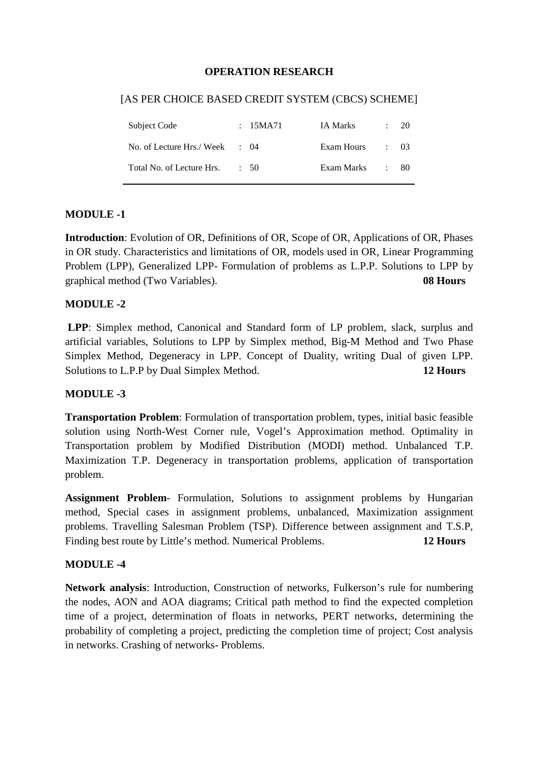#### **OPERATION RESEARCH**

#### [AS PER CHOICE BASED CREDIT SYSTEM (CBCS) SCHEME]

| Subject Code                             | : 15MA71        | IA Marks        | $\therefore$ 20 |
|------------------------------------------|-----------------|-----------------|-----------------|
| No. of Lecture Hrs./Week $\therefore$ 04 |                 | Exam Hours : 03 |                 |
| Total No. of Lecture Hrs.                | $\therefore$ 50 | Exam Marks      | $\pm 80$        |

#### **MODULE -1**

**Introduction**: Evolution of OR, Definitions of OR, Scope of OR, Applications of OR, Phases in OR study. Characteristics and limitations of OR, models used in OR, Linear Programming Problem (LPP), Generalized LPP- Formulation of problems as L.P.P. Solutions to LPP by graphical method (Two Variables). **08 Hours**

#### **MODULE -2**

 **LPP**: Simplex method, Canonical and Standard form of LP problem, slack, surplus and artificial variables, Solutions to LPP by Simplex method, Big-M Method and Two Phase Simplex Method, Degeneracy in LPP. Concept of Duality, writing Dual of given LPP. Solutions to L.P.P by Dual Simplex Method. **12 Hours** 

#### **MODULE -3**

**Transportation Problem**: Formulation of transportation problem, types, initial basic feasible solution using North-West Corner rule, Vogel's Approximation method. Optimality in Transportation problem by Modified Distribution (MODI) method. Unbalanced T.P. Maximization T.P. Degeneracy in transportation problems, application of transportation problem.

**Assignment Problem**- Formulation, Solutions to assignment problems by Hungarian method, Special cases in assignment problems, unbalanced, Maximization assignment problems. Travelling Salesman Problem (TSP). Difference between assignment and T.S.P, Finding best route by Little's method. Numerical Problems. **12 Hours** 

#### **MODULE -4**

**Network analysis**: Introduction, Construction of networks, Fulkerson's rule for numbering the nodes, AON and AOA diagrams; Critical path method to find the expected completion time of a project, determination of floats in networks, PERT networks, determining the probability of completing a project, predicting the completion time of project; Cost analysis in networks. Crashing of networks- Problems.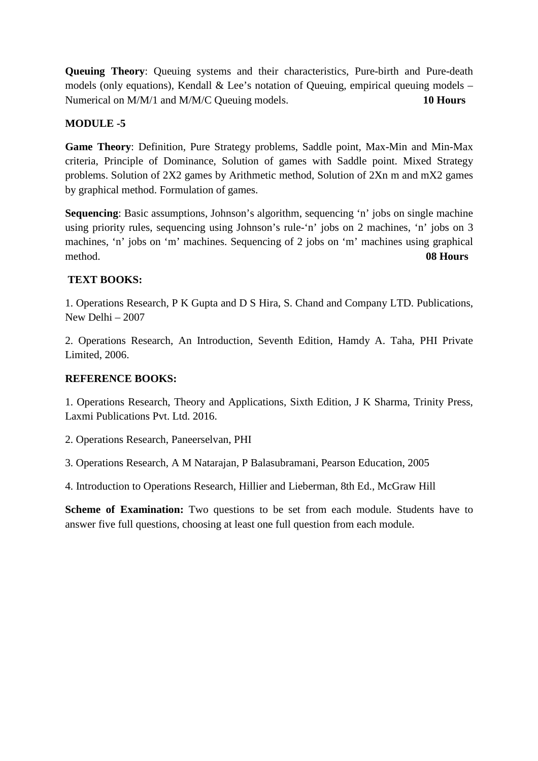**Queuing Theory**: Queuing systems and their characteristics, Pure-birth and Pure-death models (only equations), Kendall & Lee's notation of Queuing, empirical queuing models – Numerical on M/M/1 and M/M/C Queuing models. **10 Hours** 

### **MODULE -5**

**Game Theory**: Definition, Pure Strategy problems, Saddle point, Max-Min and Min-Max criteria, Principle of Dominance, Solution of games with Saddle point. Mixed Strategy problems. Solution of 2X2 games by Arithmetic method, Solution of 2Xn m and mX2 games by graphical method. Formulation of games.

**Sequencing**: Basic assumptions, Johnson's algorithm, sequencing 'n' jobs on single machine using priority rules, sequencing using Johnson's rule-'n' jobs on 2 machines, 'n' jobs on 3 machines, 'n' jobs on 'm' machines. Sequencing of 2 jobs on 'm' machines using graphical method. **08 Hours**

### **TEXT BOOKS:**

1. Operations Research, P K Gupta and D S Hira, S. Chand and Company LTD. Publications, New Delhi – 2007

2. Operations Research, An Introduction, Seventh Edition, Hamdy A. Taha, PHI Private Limited, 2006.

#### **REFERENCE BOOKS:**

1. Operations Research, Theory and Applications, Sixth Edition, J K Sharma, Trinity Press, Laxmi Publications Pvt. Ltd. 2016.

2. Operations Research, Paneerselvan, PHI

3. Operations Research, A M Natarajan, P Balasubramani, Pearson Education, 2005

4. Introduction to Operations Research, Hillier and Lieberman, 8th Ed., McGraw Hill

**Scheme of Examination:** Two questions to be set from each module. Students have to answer five full questions, choosing at least one full question from each module.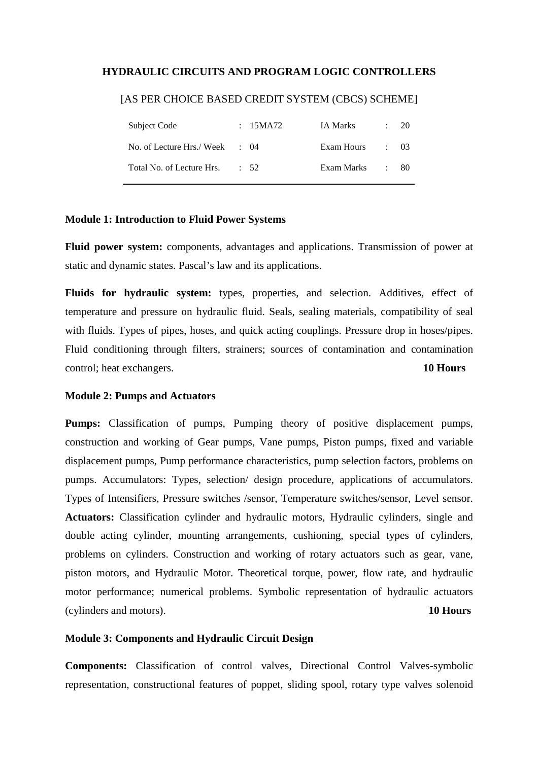#### **HYDRAULIC CIRCUITS AND PROGRAM LOGIC CONTROLLERS**

| Subject Code                             | : 15MA72  | IA Marks   | : 20            |      |
|------------------------------------------|-----------|------------|-----------------|------|
| No. of Lecture Hrs./Week $\therefore$ 04 |           | Exam Hours | $\therefore$ 03 |      |
| Total No. of Lecture Hrs.                | $\div$ 52 | Exam Marks |                 | - 80 |

#### [AS PER CHOICE BASED CREDIT SYSTEM (CBCS) SCHEME]

#### **Module 1: Introduction to Fluid Power Systems**

**Fluid power system:** components, advantages and applications. Transmission of power at static and dynamic states. Pascal's law and its applications.

**Fluids for hydraulic system:** types, properties, and selection. Additives, effect of temperature and pressure on hydraulic fluid. Seals, sealing materials, compatibility of seal with fluids. Types of pipes, hoses, and quick acting couplings. Pressure drop in hoses/pipes. Fluid conditioning through filters, strainers; sources of contamination and contamination control; heat exchangers. **10 Hours**

#### **Module 2: Pumps and Actuators**

**Pumps:** Classification of pumps, Pumping theory of positive displacement pumps, construction and working of Gear pumps, Vane pumps, Piston pumps, fixed and variable displacement pumps, Pump performance characteristics, pump selection factors, problems on pumps. Accumulators: Types, selection/ design procedure, applications of accumulators. Types of Intensifiers, Pressure switches /sensor, Temperature switches/sensor, Level sensor. **Actuators:** Classification cylinder and hydraulic motors, Hydraulic cylinders, single and double acting cylinder, mounting arrangements, cushioning, special types of cylinders, problems on cylinders. Construction and working of rotary actuators such as gear, vane, piston motors, and Hydraulic Motor. Theoretical torque, power, flow rate, and hydraulic motor performance; numerical problems. Symbolic representation of hydraulic actuators (cylinders and motors). **10 Hours** 

#### **Module 3: Components and Hydraulic Circuit Design**

**Components:** Classification of control valves, Directional Control Valves-symbolic representation, constructional features of poppet, sliding spool, rotary type valves solenoid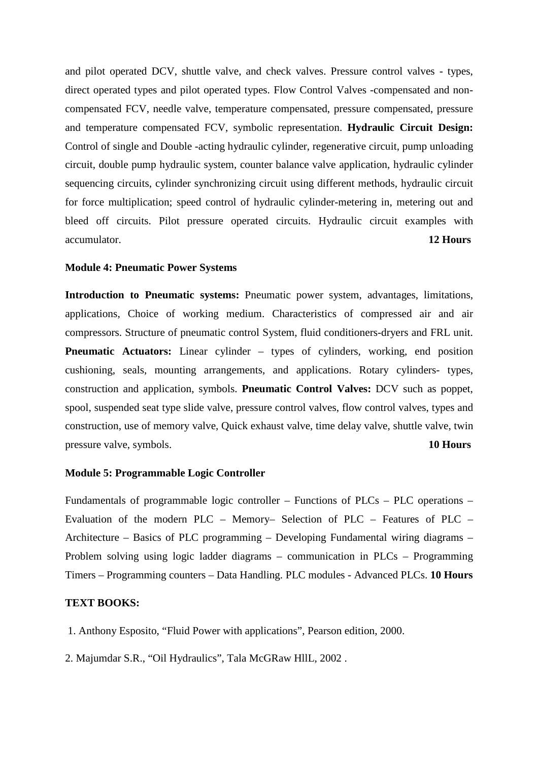and pilot operated DCV, shuttle valve, and check valves. Pressure control valves - types, direct operated types and pilot operated types. Flow Control Valves -compensated and noncompensated FCV, needle valve, temperature compensated, pressure compensated, pressure and temperature compensated FCV, symbolic representation. **Hydraulic Circuit Design:** Control of single and Double -acting hydraulic cylinder, regenerative circuit, pump unloading circuit, double pump hydraulic system, counter balance valve application, hydraulic cylinder sequencing circuits, cylinder synchronizing circuit using different methods, hydraulic circuit for force multiplication; speed control of hydraulic cylinder-metering in, metering out and bleed off circuits. Pilot pressure operated circuits. Hydraulic circuit examples with accumulator. **12 Hours**

#### **Module 4: Pneumatic Power Systems**

**Introduction to Pneumatic systems:** Pneumatic power system, advantages, limitations, applications, Choice of working medium. Characteristics of compressed air and air compressors. Structure of pneumatic control System, fluid conditioners-dryers and FRL unit. **Pneumatic Actuators:** Linear cylinder – types of cylinders, working, end position cushioning, seals, mounting arrangements, and applications. Rotary cylinders- types, construction and application, symbols. **Pneumatic Control Valves:** DCV such as poppet, spool, suspended seat type slide valve, pressure control valves, flow control valves, types and construction, use of memory valve, Quick exhaust valve, time delay valve, shuttle valve, twin pressure valve, symbols. **10 Hours**

#### **Module 5: Programmable Logic Controller**

Fundamentals of programmable logic controller – Functions of PLCs – PLC operations – Evaluation of the modern PLC – Memory– Selection of PLC – Features of PLC – Architecture – Basics of PLC programming – Developing Fundamental wiring diagrams – Problem solving using logic ladder diagrams – communication in PLCs – Programming Timers – Programming counters – Data Handling. PLC modules - Advanced PLCs. **10 Hours**

#### **TEXT BOOKS:**

- 1. Anthony Esposito, "Fluid Power with applications", Pearson edition, 2000.
- 2. Majumdar S.R., "Oil Hydraulics", Tala McGRaw HllL, 2002 .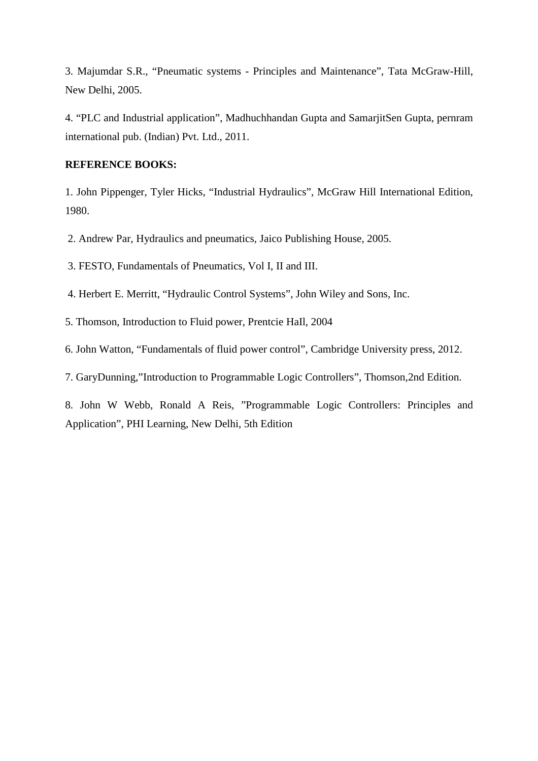3. Majumdar S.R., "Pneumatic systems - Principles and Maintenance", Tata McGraw-Hill, New Delhi, 2005.

4. "PLC and Industrial application", Madhuchhandan Gupta and SamarjitSen Gupta, pernram international pub. (Indian) Pvt. Ltd., 2011.

#### **REFERENCE BOOKS:**

1. John Pippenger, Tyler Hicks, "Industrial Hydraulics", McGraw Hill International Edition, 1980.

2. Andrew Par, Hydraulics and pneumatics, Jaico Publishing House, 2005.

3. FESTO, Fundamentals of Pneumatics, Vol I, II and III.

4. Herbert E. Merritt, "Hydraulic Control Systems", John Wiley and Sons, Inc.

5. Thomson, Introduction to Fluid power, Prentcie HaIl, 2004

6. John Watton, "Fundamentals of fluid power control", Cambridge University press, 2012.

7. GaryDunning,"Introduction to Programmable Logic Controllers", Thomson,2nd Edition.

8. John W Webb, Ronald A Reis, "Programmable Logic Controllers: Principles and Application", PHI Learning, New Delhi, 5th Edition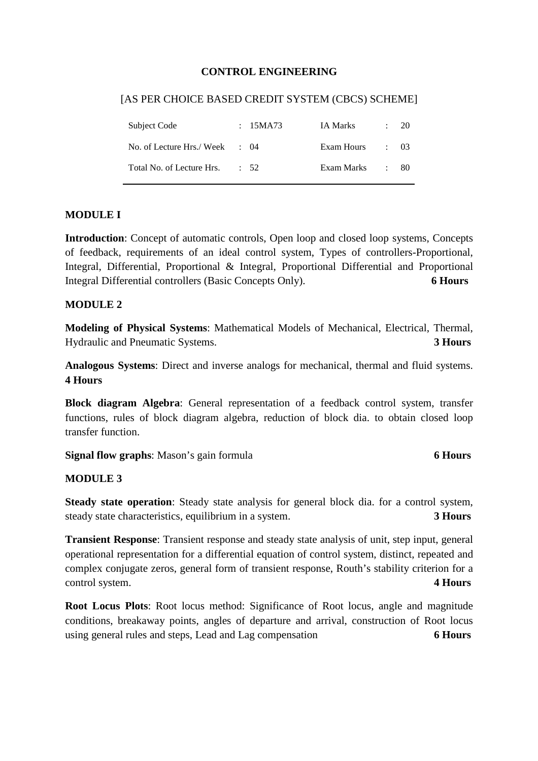#### **CONTROL ENGINEERING**

#### [AS PER CHOICE BASED CREDIT SYSTEM (CBCS) SCHEME]

| Subject Code                   | : 15MA73        | IA Marks   | $\ddot{\phantom{0}}$ | 20       |
|--------------------------------|-----------------|------------|----------------------|----------|
| No. of Lecture Hrs./ Week : 04 |                 | Exam Hours | $\cdot$ 03           |          |
| Total No. of Lecture Hrs.      | $\therefore$ 52 | Exam Marks |                      | $\pm 80$ |

#### **MODULE I**

**Introduction**: Concept of automatic controls, Open loop and closed loop systems, Concepts of feedback, requirements of an ideal control system, Types of controllers-Proportional, Integral, Differential, Proportional & Integral, Proportional Differential and Proportional Integral Differential controllers (Basic Concepts Only). **6 Hours** 

#### **MODULE 2**

**Modeling of Physical Systems**: Mathematical Models of Mechanical, Electrical, Thermal, Hydraulic and Pneumatic Systems. **3 Hours**

**Analogous Systems**: Direct and inverse analogs for mechanical, thermal and fluid systems. **4 Hours**

**Block diagram Algebra**: General representation of a feedback control system, transfer functions, rules of block diagram algebra, reduction of block dia. to obtain closed loop transfer function.

**Signal flow graphs**: Mason's gain formula **6 Hours** 

#### **MODULE 3**

**Steady state operation**: Steady state analysis for general block dia. for a control system, steady state characteristics, equilibrium in a system. **3 Hours**

**Transient Response**: Transient response and steady state analysis of unit, step input, general operational representation for a differential equation of control system, distinct, repeated and complex conjugate zeros, general form of transient response, Routh's stability criterion for a control system. **4 Hours**

**Root Locus Plots**: Root locus method: Significance of Root locus, angle and magnitude conditions, breakaway points, angles of departure and arrival, construction of Root locus using general rules and steps, Lead and Lag compensation **6 Hours**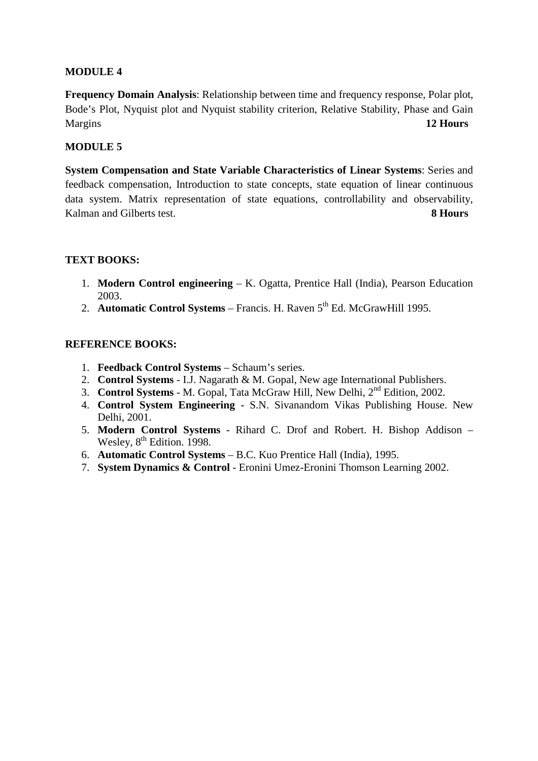#### **MODULE 4**

**Frequency Domain Analysis**: Relationship between time and frequency response, Polar plot, Bode's Plot, Nyquist plot and Nyquist stability criterion, Relative Stability, Phase and Gain Margins **12 Hours**

#### **MODULE 5**

**System Compensation and State Variable Characteristics of Linear Systems**: Series and feedback compensation, Introduction to state concepts, state equation of linear continuous data system. Matrix representation of state equations, controllability and observability, Kalman and Gilberts test. **8 Hours**

#### **TEXT BOOKS:**

- 1. **Modern Control engineering** K. Ogatta, Prentice Hall (India), Pearson Education 2003.
- 2. **Automatic Control Systems** Francis. H. Raven 5<sup>th</sup> Ed. McGrawHill 1995.

#### **REFERENCE BOOKS:**

- 1. **Feedback Control Systems** Schaum's series.
- 2. **Control Systems** I.J. Nagarath & M. Gopal, New age International Publishers.
- 3. **Control Systems** M. Gopal, Tata McGraw Hill, New Delhi, 2nd Edition, 2002.
- 4. **Control System Engineering**  S.N. Sivanandom Vikas Publishing House. New Delhi, 2001.
- 5. **Modern Control Systems** Rihard C. Drof and Robert. H. Bishop Addison Wesley, 8<sup>th</sup> Edition. 1998.
- 6. **Automatic Control Systems** B.C. Kuo Prentice Hall (India), 1995.
- 7. **System Dynamics & Control** Eronini Umez-Eronini Thomson Learning 2002.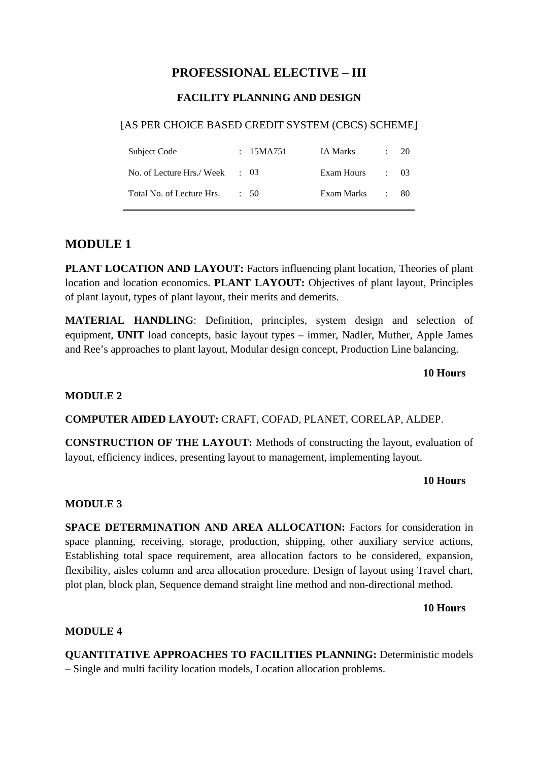# **PROFESSIONAL ELECTIVE – III**

# **FACILITY PLANNING AND DESIGN**

#### [AS PER CHOICE BASED CREDIT SYSTEM (CBCS) SCHEME]

| Subject Code                             | : $15MA751$ | IA Marks   | $\therefore$ 20 |
|------------------------------------------|-------------|------------|-----------------|
| No. of Lecture Hrs./Week $\therefore$ 03 |             | Exam Hours | $\div$ 03       |
| Total No. of Lecture Hrs.                | $\div$ 50   | Exam Marks | - 80            |

# **MODULE 1**

**PLANT LOCATION AND LAYOUT:** Factors influencing plant location, Theories of plant location and location economics. **PLANT LAYOUT:** Objectives of plant layout, Principles of plant layout, types of plant layout, their merits and demerits.

**MATERIAL HANDLING**: Definition, principles, system design and selection of equipment, **UNIT** load concepts, basic layout types – immer, Nadler, Muther, Apple James and Ree's approaches to plant layout, Modular design concept, Production Line balancing.

#### **10 Hours**

#### **MODULE 2**

**COMPUTER AIDED LAYOUT:** CRAFT, COFAD, PLANET, CORELAP, ALDEP.

**CONSTRUCTION OF THE LAYOUT:** Methods of constructing the layout, evaluation of layout, efficiency indices, presenting layout to management, implementing layout.

#### **10 Hours**

#### **MODULE 3**

**SPACE DETERMINATION AND AREA ALLOCATION:** Factors for consideration in space planning, receiving, storage, production, shipping, other auxiliary service actions, Establishing total space requirement, area allocation factors to be considered, expansion, flexibility, aisles column and area allocation procedure. Design of layout using Travel chart, plot plan, block plan, Sequence demand straight line method and non-directional method.

#### **10 Hours**

#### **MODULE 4**

**QUANTITATIVE APPROACHES TO FACILITIES PLANNING:** Deterministic models – Single and multi facility location models, Location allocation problems.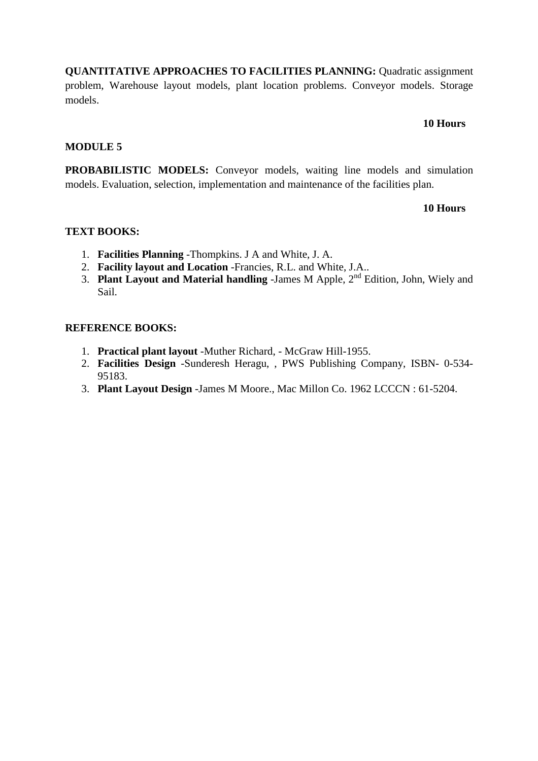**QUANTITATIVE APPROACHES TO FACILITIES PLANNING:** Quadratic assignment problem, Warehouse layout models, plant location problems. Conveyor models. Storage models.

#### **10 Hours**

#### **MODULE 5**

PROBABILISTIC MODELS: Conveyor models, waiting line models and simulation models. Evaluation, selection, implementation and maintenance of the facilities plan.

#### **10 Hours**

#### **TEXT BOOKS:**

- 1. **Facilities Planning** -Thompkins. J A and White, J. A.
- 2. **Facility layout and Location** -Francies, R.L. and White, J.A..
- 3. **Plant Layout and Material handling** -James M Apple, 2nd Edition, John, Wiely and Sail.

#### **REFERENCE BOOKS:**

- 1. **Practical plant layout** -Muther Richard, McGraw Hill-1955.
- 2. **Facilities Design** -Sunderesh Heragu, , PWS Publishing Company, ISBN- 0-534- 95183.
- 3. **Plant Layout Design** -James M Moore., Mac Millon Co. 1962 LCCCN : 61-5204.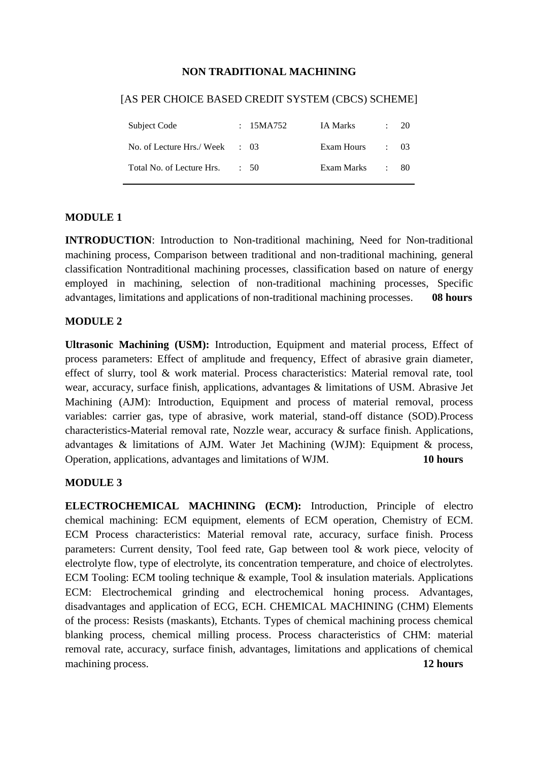#### **NON TRADITIONAL MACHINING**

# Subject Code : 15MA752 IA Marks : 20 No. of Lecture Hrs./ Week : 03 Exam Hours : 03 Total No. of Lecture Hrs. : 50 Exam Marks : 80

#### [AS PER CHOICE BASED CREDIT SYSTEM (CBCS) SCHEME]

#### **MODULE 1**

**INTRODUCTION**: Introduction to Non-traditional machining, Need for Non-traditional machining process, Comparison between traditional and non-traditional machining, general classification Nontraditional machining processes, classification based on nature of energy employed in machining, selection of non-traditional machining processes, Specific advantages, limitations and applications of non-traditional machining processes. **08 hours** 

#### **MODULE 2**

**Ultrasonic Machining (USM):** Introduction, Equipment and material process, Effect of process parameters: Effect of amplitude and frequency, Effect of abrasive grain diameter, effect of slurry, tool & work material. Process characteristics: Material removal rate, tool wear, accuracy, surface finish, applications, advantages & limitations of USM. Abrasive Jet Machining (AJM): Introduction, Equipment and process of material removal, process variables: carrier gas, type of abrasive, work material, stand-off distance (SOD).Process characteristics-Material removal rate, Nozzle wear, accuracy & surface finish. Applications, advantages & limitations of AJM. Water Jet Machining (WJM): Equipment & process, Operation, applications, advantages and limitations of WJM. **10 hours**

#### **MODULE 3**

**ELECTROCHEMICAL MACHINING (ECM):** Introduction, Principle of electro chemical machining: ECM equipment, elements of ECM operation, Chemistry of ECM. ECM Process characteristics: Material removal rate, accuracy, surface finish. Process parameters: Current density, Tool feed rate, Gap between tool & work piece, velocity of electrolyte flow, type of electrolyte, its concentration temperature, and choice of electrolytes. ECM Tooling: ECM tooling technique & example, Tool & insulation materials. Applications ECM: Electrochemical grinding and electrochemical honing process. Advantages, disadvantages and application of ECG, ECH. CHEMICAL MACHINING (CHM) Elements of the process: Resists (maskants), Etchants. Types of chemical machining process chemical blanking process, chemical milling process. Process characteristics of CHM: material removal rate, accuracy, surface finish, advantages, limitations and applications of chemical machining process. **12 hours**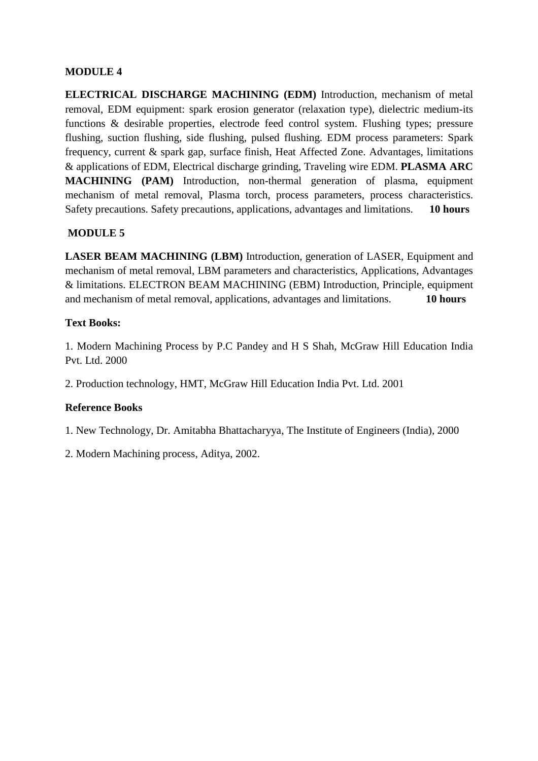### **MODULE 4**

**ELECTRICAL DISCHARGE MACHINING (EDM)** Introduction, mechanism of metal removal, EDM equipment: spark erosion generator (relaxation type), dielectric medium-its functions & desirable properties, electrode feed control system. Flushing types; pressure flushing, suction flushing, side flushing, pulsed flushing. EDM process parameters: Spark frequency, current & spark gap, surface finish, Heat Affected Zone. Advantages, limitations & applications of EDM, Electrical discharge grinding, Traveling wire EDM. **PLASMA ARC MACHINING (PAM)** Introduction, non-thermal generation of plasma, equipment mechanism of metal removal, Plasma torch, process parameters, process characteristics. Safety precautions. Safety precautions, applications, advantages and limitations. **10 hours**

# **MODULE 5**

**LASER BEAM MACHINING (LBM)** Introduction, generation of LASER, Equipment and mechanism of metal removal, LBM parameters and characteristics, Applications, Advantages & limitations. ELECTRON BEAM MACHINING (EBM) Introduction, Principle, equipment and mechanism of metal removal, applications, advantages and limitations. **10 hours**

#### **Text Books:**

1. Modern Machining Process by P.C Pandey and H S Shah, McGraw Hill Education India Pvt. Ltd. 2000

2. Production technology, HMT, McGraw Hill Education India Pvt. Ltd. 2001

#### **Reference Books**

1. New Technology, Dr. Amitabha Bhattacharyya, The Institute of Engineers (India), 2000

2. Modern Machining process, Aditya, 2002.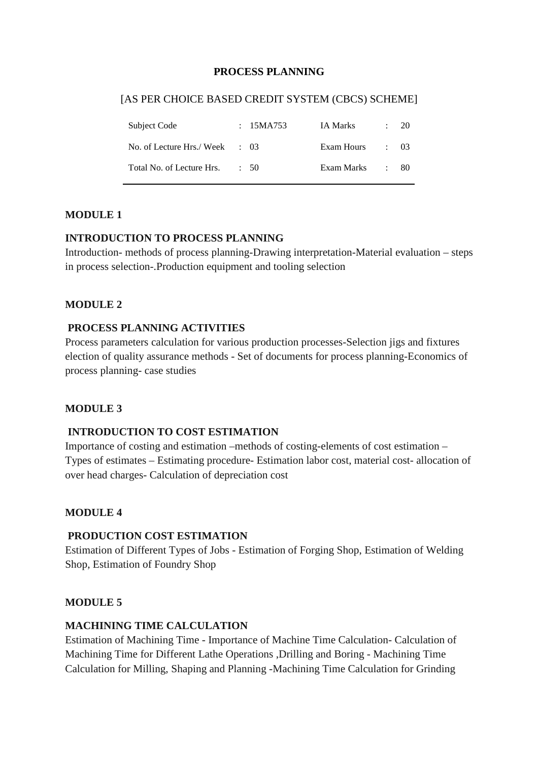#### **PROCESS PLANNING**

#### [AS PER CHOICE BASED CREDIT SYSTEM (CBCS) SCHEME]

| Subject Code                             | : 15MA753 | IA Marks   |            | $\therefore$ 20 |
|------------------------------------------|-----------|------------|------------|-----------------|
| No. of Lecture Hrs./Week $\therefore$ 03 |           | Exam Hours | $\cdot$ 03 |                 |
| Total No. of Lecture Hrs.                | $\div$ 50 | Exam Marks |            | - 80            |

#### **MODULE 1**

#### **INTRODUCTION TO PROCESS PLANNING**

Introduction- methods of process planning-Drawing interpretation-Material evaluation – steps in process selection-.Production equipment and tooling selection

#### **MODULE 2**

#### **PROCESS PLANNING ACTIVITIES**

Process parameters calculation for various production processes-Selection jigs and fixtures election of quality assurance methods - Set of documents for process planning-Economics of process planning- case studies

#### **MODULE 3**

#### **INTRODUCTION TO COST ESTIMATION**

Importance of costing and estimation –methods of costing-elements of cost estimation – Types of estimates – Estimating procedure- Estimation labor cost, material cost- allocation of over head charges- Calculation of depreciation cost

#### **MODULE 4**

#### **PRODUCTION COST ESTIMATION**

Estimation of Different Types of Jobs - Estimation of Forging Shop, Estimation of Welding Shop, Estimation of Foundry Shop

#### **MODULE 5**

#### **MACHINING TIME CALCULATION**

Estimation of Machining Time - Importance of Machine Time Calculation- Calculation of Machining Time for Different Lathe Operations ,Drilling and Boring - Machining Time Calculation for Milling, Shaping and Planning -Machining Time Calculation for Grinding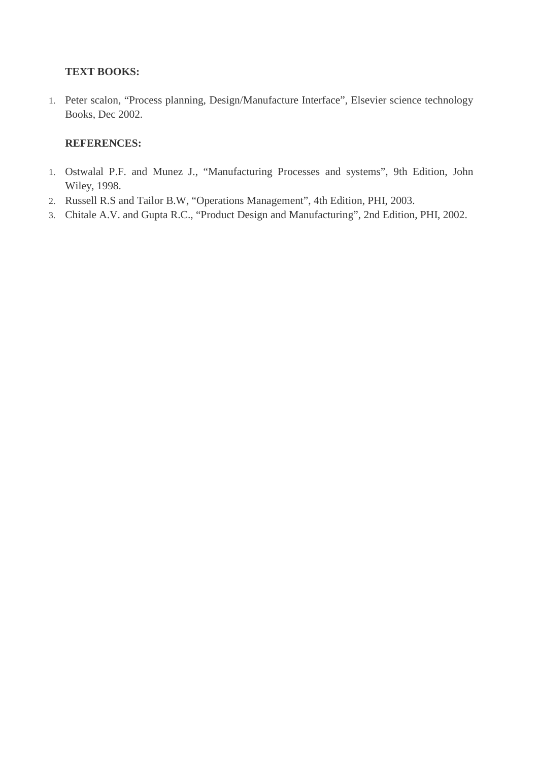#### **TEXT BOOKS:**

1. Peter scalon, "Process planning, Design/Manufacture Interface", Elsevier science technology Books, Dec 2002.

#### **REFERENCES:**

- 1. Ostwalal P.F. and Munez J., "Manufacturing Processes and systems", 9th Edition, John Wiley, 1998.
- 2. Russell R.S and Tailor B.W, "Operations Management", 4th Edition, PHI, 2003.
- 3. Chitale A.V. and Gupta R.C., "Product Design and Manufacturing", 2nd Edition, PHI, 2002.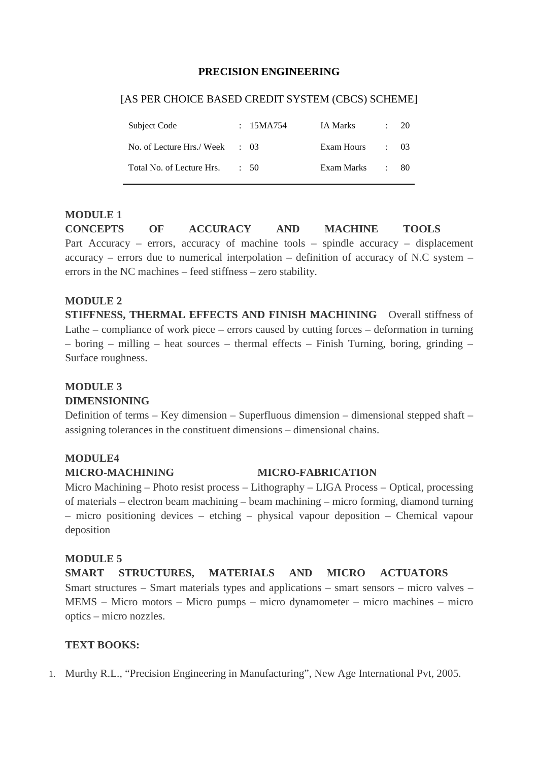#### **PRECISION ENGINEERING**

#### [AS PER CHOICE BASED CREDIT SYSTEM (CBCS) SCHEME]

| Subject Code                             | : $15MA754$ | IA Marks   | $\therefore$ 20 |
|------------------------------------------|-------------|------------|-----------------|
| No. of Lecture Hrs./Week $\therefore$ 03 |             | Exam Hours | $\div$ 03       |
| Total No. of Lecture Hrs.                | $\div$ 50   | Exam Marks | - 80-           |

#### **MODULE 1**

**CONCEPTS OF ACCURACY AND MACHINE TOOLS** Part Accuracy – errors, accuracy of machine tools – spindle accuracy – displacement accuracy – errors due to numerical interpolation – definition of accuracy of N.C system – errors in the NC machines – feed stiffness – zero stability.

#### **MODULE 2**

**STIFFNESS, THERMAL EFFECTS AND FINISH MACHINING** Overall stiffness of Lathe – compliance of work piece – errors caused by cutting forces – deformation in turning – boring – milling – heat sources – thermal effects – Finish Turning, boring, grinding – Surface roughness.

#### **MODULE 3**

#### **DIMENSIONING**

Definition of terms – Key dimension – Superfluous dimension – dimensional stepped shaft – assigning tolerances in the constituent dimensions – dimensional chains.

#### **MODULE4**

#### **MICRO-MACHINING MICRO-FABRICATION**

Micro Machining – Photo resist process – Lithography – LIGA Process – Optical, processing of materials – electron beam machining – beam machining – micro forming, diamond turning – micro positioning devices – etching – physical vapour deposition – Chemical vapour deposition

#### **MODULE 5**

**SMART STRUCTURES, MATERIALS AND MICRO ACTUATORS** Smart structures – Smart materials types and applications – smart sensors – micro valves – MEMS – Micro motors – Micro pumps – micro dynamometer – micro machines – micro optics – micro nozzles.

#### **TEXT BOOKS:**

1. Murthy R.L., "Precision Engineering in Manufacturing", New Age International Pvt, 2005.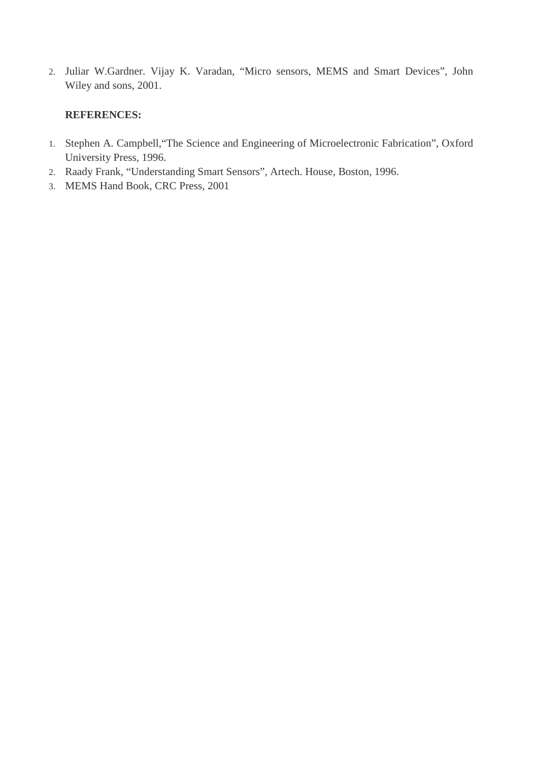2. Juliar W.Gardner. Vijay K. Varadan, "Micro sensors, MEMS and Smart Devices", John Wiley and sons, 2001.

#### **REFERENCES:**

- 1. Stephen A. Campbell,"The Science and Engineering of Microelectronic Fabrication", Oxford University Press, 1996.
- 2. Raady Frank, "Understanding Smart Sensors", Artech. House, Boston, 1996.
- 3. MEMS Hand Book, CRC Press, 2001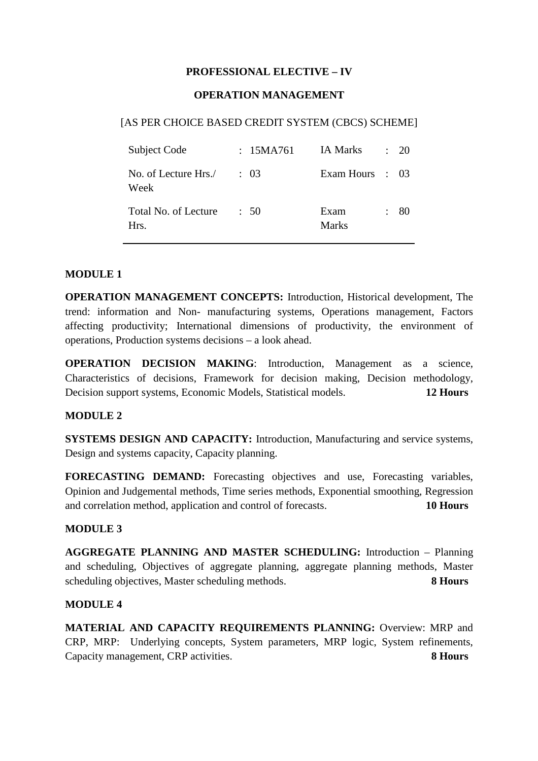#### **PROFESSIONAL ELECTIVE – IV**

#### **OPERATION MANAGEMENT**

#### [AS PER CHOICE BASED CREDIT SYSTEM (CBCS) SCHEME]

| Subject Code                 | : 15MA761 | IA Marks        | $\div$ 20 |
|------------------------------|-----------|-----------------|-----------|
| No. of Lecture Hrs./<br>Week | $\div$ 03 | Exam Hours : 03 |           |
| Total No. of Lecture<br>Hrs. | : 50      | Exam<br>Marks   | 80        |

#### **MODULE 1**

**OPERATION MANAGEMENT CONCEPTS:** Introduction, Historical development, The trend: information and Non- manufacturing systems, Operations management, Factors affecting productivity; International dimensions of productivity, the environment of operations, Production systems decisions – a look ahead.

**OPERATION DECISION MAKING:** Introduction, Management as a science, Characteristics of decisions, Framework for decision making, Decision methodology, Decision support systems, Economic Models, Statistical models. **12 Hours**

#### **MODULE 2**

**SYSTEMS DESIGN AND CAPACITY:** Introduction, Manufacturing and service systems, Design and systems capacity, Capacity planning.

**FORECASTING DEMAND:** Forecasting objectives and use, Forecasting variables, Opinion and Judgemental methods, Time series methods, Exponential smoothing, Regression and correlation method, application and control of forecasts. **10 Hours**

#### **MODULE 3**

**AGGREGATE PLANNING AND MASTER SCHEDULING:** Introduction – Planning and scheduling, Objectives of aggregate planning, aggregate planning methods, Master scheduling objectives, Master scheduling methods. **8 Hours**

#### **MODULE 4**

**MATERIAL AND CAPACITY REQUIREMENTS PLANNING:** Overview: MRP and CRP, MRP: Underlying concepts, System parameters, MRP logic, System refinements, Capacity management, CRP activities. **8 Hours**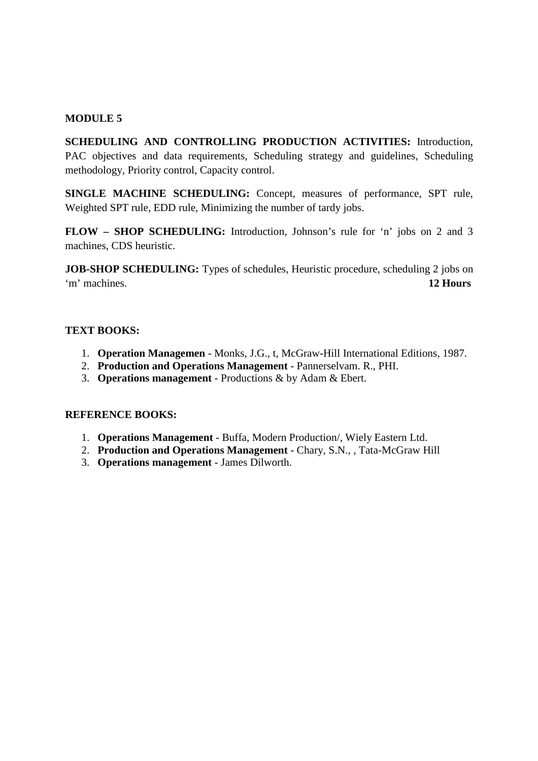#### **MODULE 5**

**SCHEDULING AND CONTROLLING PRODUCTION ACTIVITIES:** Introduction, PAC objectives and data requirements, Scheduling strategy and guidelines, Scheduling methodology, Priority control, Capacity control.

**SINGLE MACHINE SCHEDULING:** Concept, measures of performance, SPT rule, Weighted SPT rule, EDD rule, Minimizing the number of tardy jobs.

**FLOW – SHOP SCHEDULING:** Introduction, Johnson's rule for 'n' jobs on 2 and 3 machines, CDS heuristic.

**JOB-SHOP SCHEDULING:** Types of schedules, Heuristic procedure, scheduling 2 jobs on 'm' machines. **12 Hours**

#### **TEXT BOOKS:**

- 1. **Operation Managemen** Monks, J.G., t, McGraw-Hill International Editions, 1987.
- 2. **Production and Operations Management** Pannerselvam. R., PHI.
- 3. **Operations management** Productions & by Adam & Ebert.

#### **REFERENCE BOOKS:**

- 1. **Operations Management** Buffa, Modern Production/, Wiely Eastern Ltd.
- 2. **Production and Operations Management** Chary, S.N., , Tata-McGraw Hill
- 3. **Operations management** James Dilworth.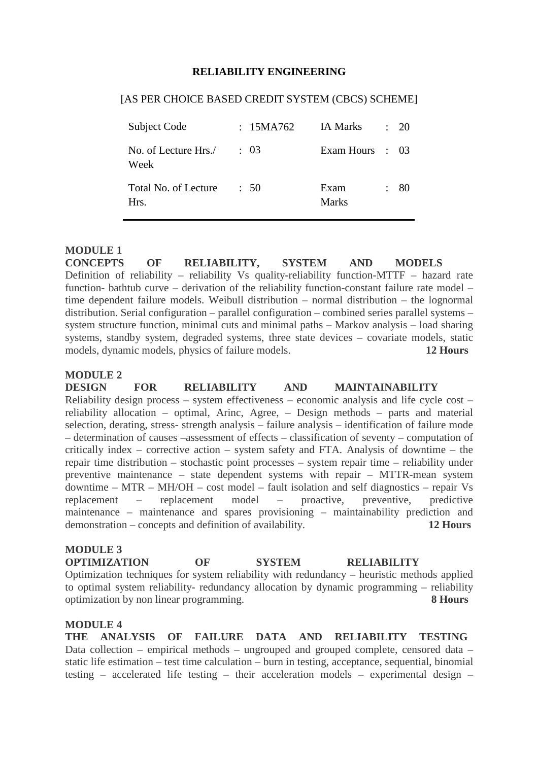#### **RELIABILITY ENGINEERING**

#### [AS PER CHOICE BASED CREDIT SYSTEM (CBCS) SCHEME]

| Subject Code                 | : 15MA762 | IA Marks        | $\ddot{\phantom{a}}$ | 20 |
|------------------------------|-----------|-----------------|----------------------|----|
| No. of Lecture Hrs./<br>Week | $\div$ 03 | Exam Hours : 03 |                      |    |
| Total No. of Lecture<br>Hrs. | $\div$ 50 | Exam<br>Marks   |                      | 80 |

#### **MODULE 1**

**CONCEPTS OF RELIABILITY, SYSTEM AND MODELS**  Definition of reliability – reliability Vs quality-reliability function-MTTF – hazard rate function- bathtub curve – derivation of the reliability function-constant failure rate model – time dependent failure models. Weibull distribution – normal distribution – the lognormal distribution. Serial configuration – parallel configuration – combined series parallel systems – system structure function, minimal cuts and minimal paths – Markov analysis – load sharing systems, standby system, degraded systems, three state devices – covariate models, static models, dynamic models, physics of failure models. **12 Hours**

#### **MODULE 2**

**DESIGN FOR RELIABILITY AND MAINTAINABILITY** Reliability design process – system effectiveness – economic analysis and life cycle cost – reliability allocation – optimal, Arinc, Agree, – Design methods – parts and material selection, derating, stress- strength analysis – failure analysis – identification of failure mode – determination of causes –assessment of effects – classification of seventy – computation of critically index – corrective action – system safety and FTA. Analysis of downtime – the repair time distribution – stochastic point processes – system repair time – reliability under preventive maintenance – state dependent systems with repair – MTTR-mean system downtime – MTR – MH/OH – cost model – fault isolation and self diagnostics – repair Vs replacement – replacement model – proactive, preventive, predictive maintenance – maintenance and spares provisioning – maintainability prediction and demonstration – concepts and definition of availability. **12 Hours**

#### **MODULE 3**

**OPTIMIZATION OF SYSTEM RELIABILITY**

Optimization techniques for system reliability with redundancy – heuristic methods applied to optimal system reliability- redundancy allocation by dynamic programming – reliability optimization by non linear programming. **8 Hours**

#### **MODULE 4**

**THE ANALYSIS OF FAILURE DATA AND RELIABILITY TESTING** Data collection – empirical methods – ungrouped and grouped complete, censored data – static life estimation – test time calculation – burn in testing, acceptance, sequential, binomial testing – accelerated life testing – their acceleration models – experimental design –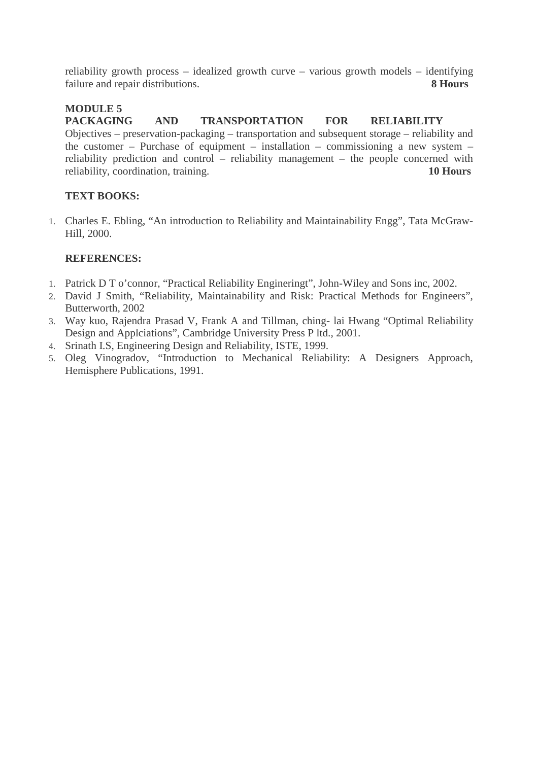reliability growth process – idealized growth curve – various growth models – identifying failure and repair distributions. **8 Hours**

# **MODULE 5**

**PACKAGING AND TRANSPORTATION FOR RELIABILITY** Objectives – preservation-packaging – transportation and subsequent storage – reliability and the customer – Purchase of equipment – installation – commissioning a new system – reliability prediction and control – reliability management – the people concerned with reliability, coordination, training. **10 Hours**

# **TEXT BOOKS:**

1. Charles E. Ebling, "An introduction to Reliability and Maintainability Engg", Tata McGraw-Hill, 2000.

### **REFERENCES:**

- 1. Patrick D T o'connor, "Practical Reliability Engineringt", John-Wiley and Sons inc, 2002.
- 2. David J Smith, "Reliability, Maintainability and Risk: Practical Methods for Engineers", Butterworth, 2002
- 3. Way kuo, Rajendra Prasad V, Frank A and Tillman, ching- lai Hwang "Optimal Reliability Design and Applciations", Cambridge University Press P ltd., 2001.
- 4. Srinath I.S, Engineering Design and Reliability, ISTE, 1999.
- 5. Oleg Vinogradov, "Introduction to Mechanical Reliability: A Designers Approach, Hemisphere Publications, 1991.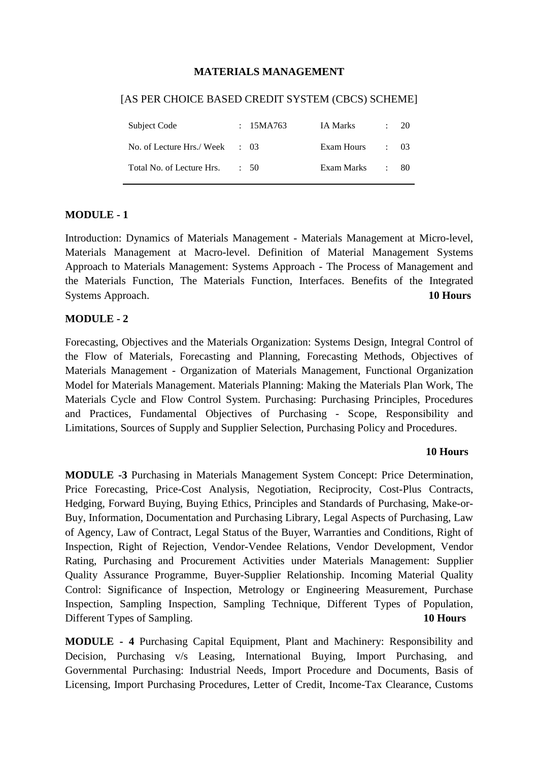#### **MATERIALS MANAGEMENT**

#### [AS PER CHOICE BASED CREDIT SYSTEM (CBCS) SCHEME]

| Subject Code                             | : $15MA763$ | IA Marks        | 20           |
|------------------------------------------|-------------|-----------------|--------------|
| No. of Lecture Hrs./Week $\therefore$ 03 |             | Exam Hours : 03 |              |
| Total No. of Lecture Hrs.                | : 50        | Exam Marks      | $\approx 80$ |

#### **MODULE - 1**

Introduction: Dynamics of Materials Management - Materials Management at Micro-level, Materials Management at Macro-level. Definition of Material Management Systems Approach to Materials Management: Systems Approach - The Process of Management and the Materials Function, The Materials Function, Interfaces. Benefits of the Integrated Systems Approach. **10 Hours** 

#### **MODULE - 2**

Forecasting, Objectives and the Materials Organization: Systems Design, Integral Control of the Flow of Materials, Forecasting and Planning, Forecasting Methods, Objectives of Materials Management - Organization of Materials Management, Functional Organization Model for Materials Management. Materials Planning: Making the Materials Plan Work, The Materials Cycle and Flow Control System. Purchasing: Purchasing Principles, Procedures and Practices, Fundamental Objectives of Purchasing - Scope, Responsibility and Limitations, Sources of Supply and Supplier Selection, Purchasing Policy and Procedures.

#### **10 Hours**

**MODULE -3** Purchasing in Materials Management System Concept: Price Determination, Price Forecasting, Price-Cost Analysis, Negotiation, Reciprocity, Cost-Plus Contracts, Hedging, Forward Buying, Buying Ethics, Principles and Standards of Purchasing, Make-or-Buy, Information, Documentation and Purchasing Library, Legal Aspects of Purchasing, Law of Agency, Law of Contract, Legal Status of the Buyer, Warranties and Conditions, Right of Inspection, Right of Rejection, Vendor-Vendee Relations, Vendor Development, Vendor Rating, Purchasing and Procurement Activities under Materials Management: Supplier Quality Assurance Programme, Buyer-Supplier Relationship. Incoming Material Quality Control: Significance of Inspection, Metrology or Engineering Measurement, Purchase Inspection, Sampling Inspection, Sampling Technique, Different Types of Population, Different Types of Sampling. **10 Hours**

**MODULE - 4** Purchasing Capital Equipment, Plant and Machinery: Responsibility and Decision, Purchasing v/s Leasing, International Buying, Import Purchasing, and Governmental Purchasing: Industrial Needs, Import Procedure and Documents, Basis of Licensing, Import Purchasing Procedures, Letter of Credit, Income-Tax Clearance, Customs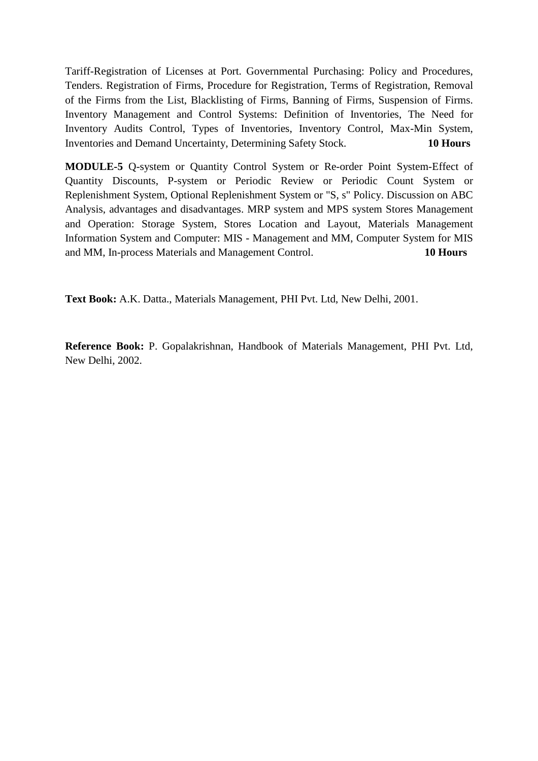Tariff-Registration of Licenses at Port. Governmental Purchasing: Policy and Procedures, Tenders. Registration of Firms, Procedure for Registration, Terms of Registration, Removal of the Firms from the List, Blacklisting of Firms, Banning of Firms, Suspension of Firms. Inventory Management and Control Systems: Definition of Inventories, The Need for Inventory Audits Control, Types of Inventories, Inventory Control, Max-Min System, Inventories and Demand Uncertainty, Determining Safety Stock. **10 Hours**

**MODULE-5** Q-system or Quantity Control System or Re-order Point System-Effect of Quantity Discounts, P-system or Periodic Review or Periodic Count System or Replenishment System, Optional Replenishment System or "S, s" Policy. Discussion on ABC Analysis, advantages and disadvantages. MRP system and MPS system Stores Management and Operation: Storage System, Stores Location and Layout, Materials Management Information System and Computer: MIS - Management and MM, Computer System for MIS and MM, In-process Materials and Management Control. **10 Hours**

**Text Book:** A.K. Datta., Materials Management, PHI Pvt. Ltd, New Delhi, 2001.

**Reference Book:** P. Gopalakrishnan, Handbook of Materials Management, PHI Pvt. Ltd, New Delhi, 2002.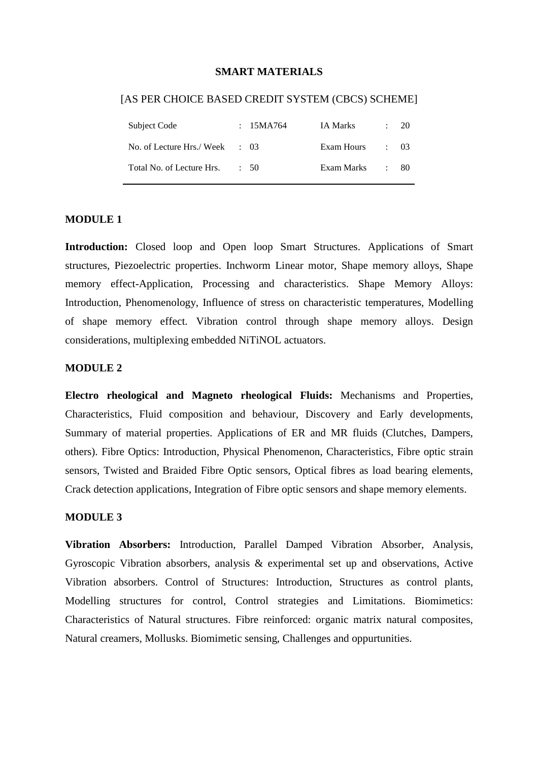#### **SMART MATERIALS**

#### [AS PER CHOICE BASED CREDIT SYSTEM (CBCS) SCHEME]

| Subject Code                             | : $15MA764$ | IA Marks   | 20         |
|------------------------------------------|-------------|------------|------------|
| No. of Lecture Hrs./Week $\therefore$ 03 |             | Exam Hours | $\cdot$ 03 |
| Total No. of Lecture Hrs.                | $\div$ 50   | Exam Marks | - 80-      |

#### **MODULE 1**

Introduction: Closed loop and Open loop Smart Structures. Applications of Smart structures, Piezoelectric properties. Inchworm Linear motor, Shape memory alloys, Shape memory effect-Application, Processing and characteristics. Shape Memory Alloys: Introduction, Phenomenology, Influence of stress on characteristic temperatures, Modelling of shape memory effect. Vibration control through shape memory alloys. Design considerations, multiplexing embedded NiTiNOL actuators.

#### **MODULE 2**

**Electro rheological and Magneto rheological Fluids:** Mechanisms and Properties, Characteristics, Fluid composition and behaviour, Discovery and Early developments, Summary of material properties. Applications of ER and MR fluids (Clutches, Dampers, others). Fibre Optics: Introduction, Physical Phenomenon, Characteristics, Fibre optic strain sensors, Twisted and Braided Fibre Optic sensors, Optical fibres as load bearing elements, Crack detection applications, Integration of Fibre optic sensors and shape memory elements.

#### **MODULE 3**

**Vibration Absorbers:** Introduction, Parallel Damped Vibration Absorber, Analysis, Gyroscopic Vibration absorbers, analysis & experimental set up and observations, Active Vibration absorbers. Control of Structures: Introduction, Structures as control plants, Modelling structures for control, Control strategies and Limitations. Biomimetics: Characteristics of Natural structures. Fibre reinforced: organic matrix natural composites, Natural creamers, Mollusks. Biomimetic sensing, Challenges and oppurtunities.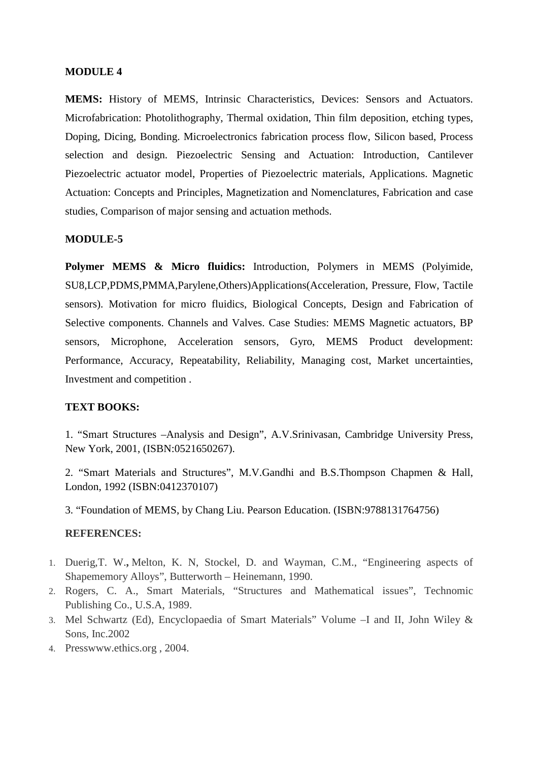#### **MODULE 4**

**MEMS:** History of MEMS, Intrinsic Characteristics, Devices: Sensors and Actuators. Microfabrication: Photolithography, Thermal oxidation, Thin film deposition, etching types, Doping, Dicing, Bonding. Microelectronics fabrication process flow, Silicon based, Process selection and design. Piezoelectric Sensing and Actuation: Introduction, Cantilever Piezoelectric actuator model, Properties of Piezoelectric materials, Applications. Magnetic Actuation: Concepts and Principles, Magnetization and Nomenclatures, Fabrication and case studies, Comparison of major sensing and actuation methods.

#### **MODULE-5**

**Polymer MEMS & Micro fluidics:** Introduction, Polymers in MEMS (Polyimide, SU8,LCP,PDMS,PMMA,Parylene,Others)Applications(Acceleration, Pressure, Flow, Tactile sensors). Motivation for micro fluidics, Biological Concepts, Design and Fabrication of Selective components. Channels and Valves. Case Studies: MEMS Magnetic actuators, BP sensors, Microphone, Acceleration sensors, Gyro, MEMS Product development: Performance, Accuracy, Repeatability, Reliability, Managing cost, Market uncertainties, Investment and competition .

#### **TEXT BOOKS:**

1. "Smart Structures –Analysis and Design", A.V.Srinivasan, Cambridge University Press, New York, 2001, (ISBN:0521650267).

2. "Smart Materials and Structures", M.V.Gandhi and B.S.Thompson Chapmen & Hall, London, 1992 (ISBN:0412370107)

3. "Foundation of MEMS, by Chang Liu. Pearson Education. (ISBN:9788131764756)

#### **REFERENCES:**

- 1. Duerig,T. W.**,** Melton, K. N, Stockel, D. and Wayman, C.M., "Engineering aspects of Shapememory Alloys", Butterworth – Heinemann, 1990.
- 2. Rogers, C. A., Smart Materials, "Structures and Mathematical issues", Technomic Publishing Co., U.S.A, 1989.
- 3. Mel Schwartz (Ed), Encyclopaedia of Smart Materials" Volume –I and II, John Wiley & Sons, Inc.2002
- 4. Presswww.ethics.org , 2004.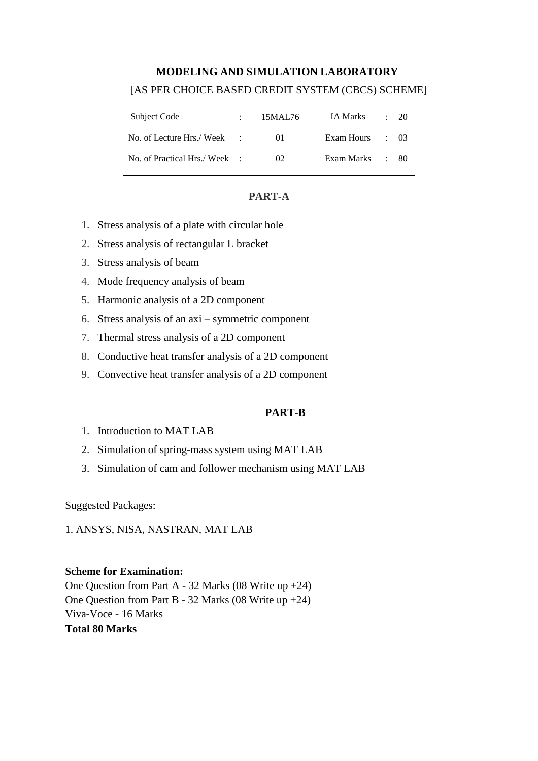# **MODELING AND SIMULATION LABORATORY** [AS PER CHOICE BASED CREDIT SYSTEM (CBCS) SCHEME]

| Subject Code                 | 15MAL76     | IA Marks        | $\div$ 20 |
|------------------------------|-------------|-----------------|-----------|
| No. of Lecture Hrs./ Week :  | $^{\prime}$ | Exam Hours : 03 |           |
| No. of Practical Hrs./Week : | 02          | Exam Marks : 80 |           |

#### **PART-A**

- 1. Stress analysis of a plate with circular hole
- 2. Stress analysis of rectangular L bracket
- 3. Stress analysis of beam
- 4. Mode frequency analysis of beam
- 5. Harmonic analysis of a 2D component
- 6. Stress analysis of an axi symmetric component
- 7. Thermal stress analysis of a 2D component
- 8. Conductive heat transfer analysis of a 2D component
- 9. Convective heat transfer analysis of a 2D component

#### **PART-B**

- 1. Introduction to MAT LAB
- 2. Simulation of spring-mass system using MAT LAB
- 3. Simulation of cam and follower mechanism using MAT LAB

Suggested Packages:

1. ANSYS, NISA, NASTRAN, MAT LAB

#### **Scheme for Examination:**

One Question from Part A - 32 Marks (08 Write up +24) One Question from Part B - 32 Marks (08 Write up +24) Viva-Voce - 16 Marks **Total 80 Marks**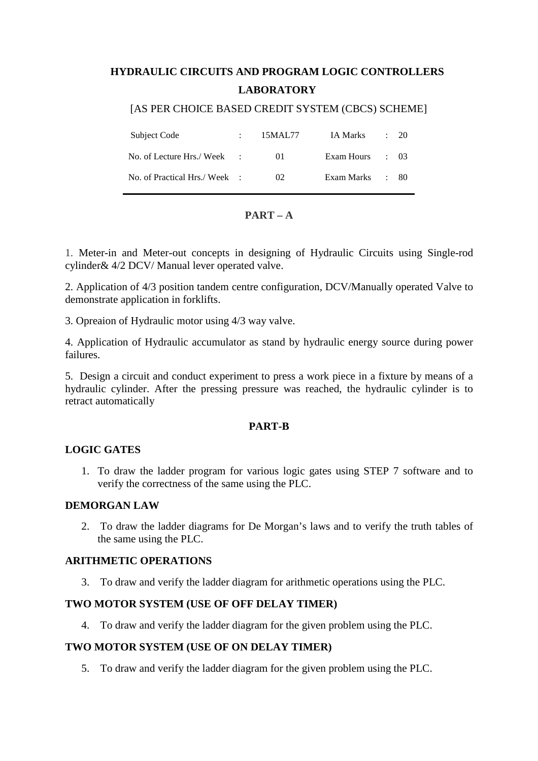# **HYDRAULIC CIRCUITS AND PROGRAM LOGIC CONTROLLERS LABORATORY**

#### [AS PER CHOICE BASED CREDIT SYSTEM (CBCS) SCHEME]

| Subject Code                 | 15MAL77 | IA Marks        | $\cdot$ 20 |
|------------------------------|---------|-----------------|------------|
| No. of Lecture Hrs./ Week :  | $_{01}$ | Exam Hours : 03 |            |
| No. of Practical Hrs./Week : | 02      | Exam Marks : 80 |            |

#### **PART – A**

1. Meter-in and Meter-out concepts in designing of Hydraulic Circuits using Single-rod cylinder& 4/2 DCV/ Manual lever operated valve.

2. Application of 4/3 position tandem centre configuration, DCV/Manually operated Valve to demonstrate application in forklifts.

3. Opreaion of Hydraulic motor using 4/3 way valve.

4. Application of Hydraulic accumulator as stand by hydraulic energy source during power failures.

5. Design a circuit and conduct experiment to press a work piece in a fixture by means of a hydraulic cylinder. After the pressing pressure was reached, the hydraulic cylinder is to retract automatically

#### **PART-B**

#### **LOGIC GATES**

1. To draw the ladder program for various logic gates using STEP 7 software and to verify the correctness of the same using the PLC.

#### **DEMORGAN LAW**

2. To draw the ladder diagrams for De Morgan's laws and to verify the truth tables of the same using the PLC.

#### **ARITHMETIC OPERATIONS**

3. To draw and verify the ladder diagram for arithmetic operations using the PLC.

#### **TWO MOTOR SYSTEM (USE OF OFF DELAY TIMER)**

4. To draw and verify the ladder diagram for the given problem using the PLC.

#### **TWO MOTOR SYSTEM (USE OF ON DELAY TIMER)**

5. To draw and verify the ladder diagram for the given problem using the PLC.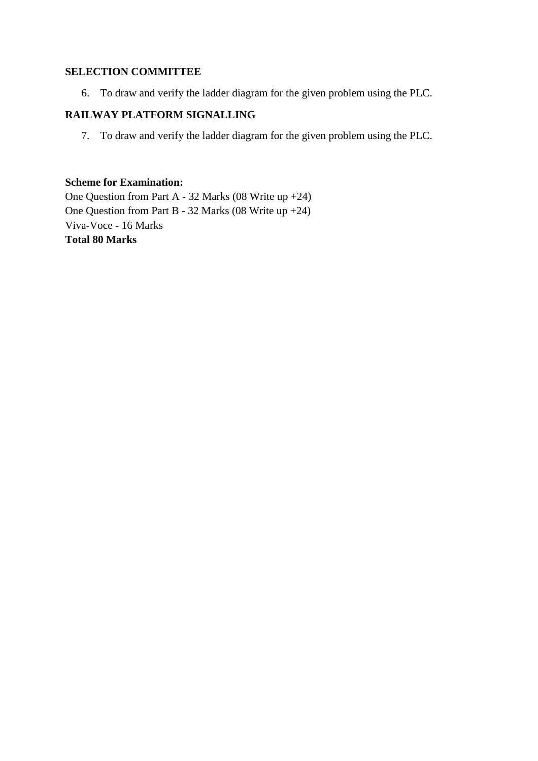#### **SELECTION COMMITTEE**

6. To draw and verify the ladder diagram for the given problem using the PLC.

# **RAILWAY PLATFORM SIGNALLING**

7. To draw and verify the ladder diagram for the given problem using the PLC.

#### **Scheme for Examination:**

One Question from Part A - 32 Marks (08 Write up +24) One Question from Part B - 32 Marks (08 Write up +24) Viva-Voce - 16 Marks **Total 80 Marks**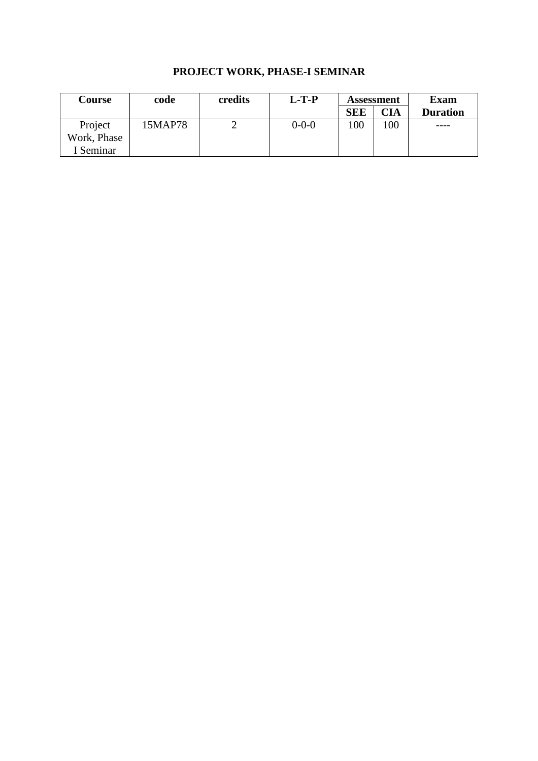# **PROJECT WORK, PHASE-I SEMINAR**

| <b>Course</b> | code    | credits | $L-T-P$     | <b>Assessment</b> |            | <b>Exam</b>     |
|---------------|---------|---------|-------------|-------------------|------------|-----------------|
|               |         |         |             | <b>SEE</b>        | <b>CIA</b> | <b>Duration</b> |
| Project       | 15MAP78 |         | $0 - 0 - 0$ | 100               | 100        | $---$           |
| Work, Phase   |         |         |             |                   |            |                 |
| I Seminar     |         |         |             |                   |            |                 |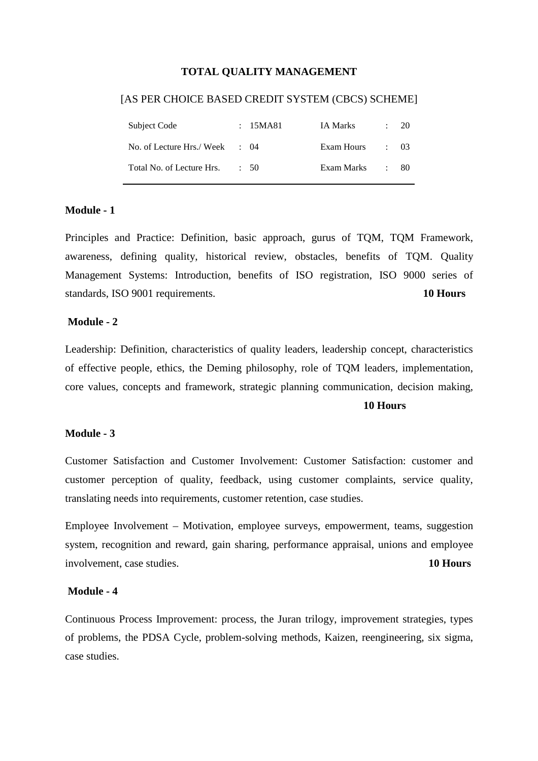#### **TOTAL QUALITY MANAGEMENT**

#### [AS PER CHOICE BASED CREDIT SYSTEM (CBCS) SCHEME]

| Subject Code                              | : 15MA81  | IA Marks        | 20.      |
|-------------------------------------------|-----------|-----------------|----------|
| No. of Lecture Hrs./ Week $\therefore$ 04 |           | Exam Hours : 03 |          |
| Total No. of Lecture Hrs.                 | $\div$ 50 | Exam Marks      | $\pm 80$ |

#### **Module - 1**

Principles and Practice: Definition, basic approach, gurus of TQM, TQM Framework, awareness, defining quality, historical review, obstacles, benefits of TQM. Quality Management Systems: Introduction, benefits of ISO registration, ISO 9000 series of standards, ISO 9001 requirements. **10 Hours**

#### **Module - 2**

Leadership: Definition, characteristics of quality leaders, leadership concept, characteristics of effective people, ethics, the Deming philosophy, role of TQM leaders, implementation, core values, concepts and framework, strategic planning communication, decision making,

#### **10 Hours**

#### **Module - 3**

Customer Satisfaction and Customer Involvement: Customer Satisfaction: customer and customer perception of quality, feedback, using customer complaints, service quality, translating needs into requirements, customer retention, case studies.

Employee Involvement – Motivation, employee surveys, empowerment, teams, suggestion system, recognition and reward, gain sharing, performance appraisal, unions and employee involvement, case studies. **10 Hours**

#### **Module - 4**

Continuous Process Improvement: process, the Juran trilogy, improvement strategies, types of problems, the PDSA Cycle, problem-solving methods, Kaizen, reengineering, six sigma, case studies.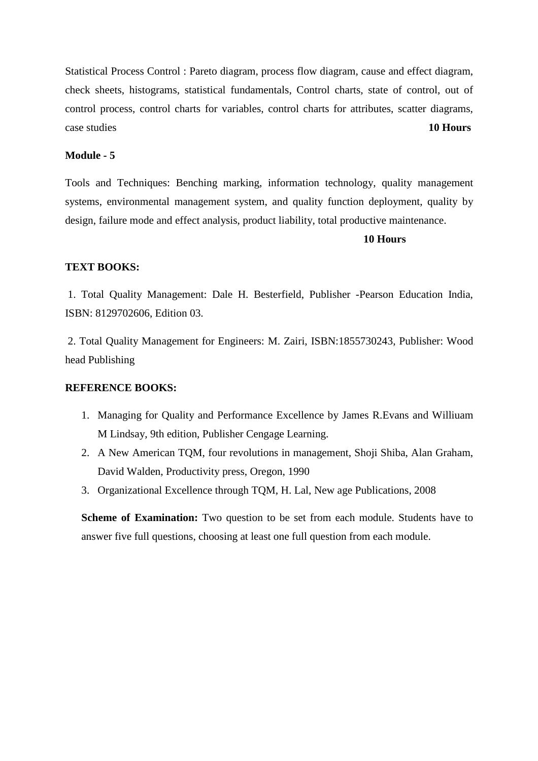Statistical Process Control : Pareto diagram, process flow diagram, cause and effect diagram, check sheets, histograms, statistical fundamentals, Control charts, state of control, out of control process, control charts for variables, control charts for attributes, scatter diagrams, case studies **10 Hours**

#### **Module - 5**

Tools and Techniques: Benching marking, information technology, quality management systems, environmental management system, and quality function deployment, quality by design, failure mode and effect analysis, product liability, total productive maintenance.

#### **10 Hours**

#### **TEXT BOOKS:**

 1. Total Quality Management: Dale H. Besterfield, Publisher -Pearson Education India, ISBN: 8129702606, Edition 03.

 2. Total Quality Management for Engineers: M. Zairi, ISBN:1855730243, Publisher: Wood head Publishing

#### **REFERENCE BOOKS:**

- 1. Managing for Quality and Performance Excellence by James R.Evans and Williuam M Lindsay, 9th edition, Publisher Cengage Learning.
- 2. A New American TQM, four revolutions in management, Shoji Shiba, Alan Graham, David Walden, Productivity press, Oregon, 1990
- 3. Organizational Excellence through TQM, H. Lal, New age Publications, 2008

**Scheme of Examination:** Two question to be set from each module. Students have to answer five full questions, choosing at least one full question from each module.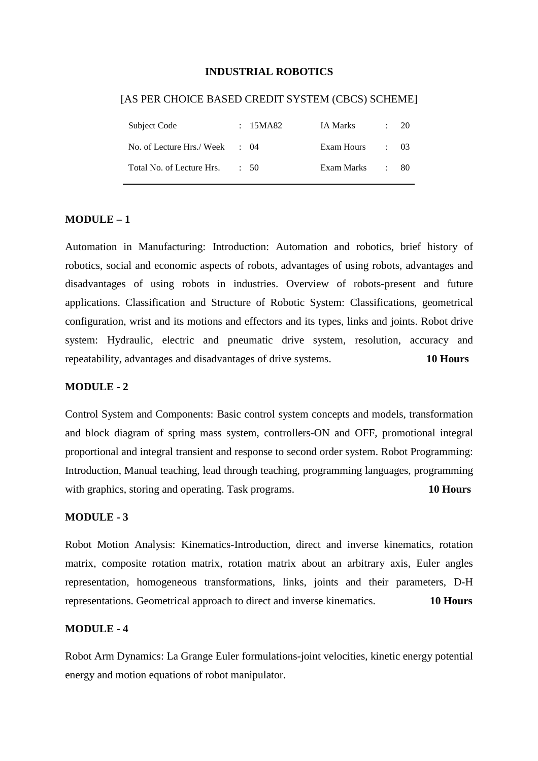#### **INDUSTRIAL ROBOTICS**

# Subject Code : 15MA82 IA Marks : 20 No. of Lecture Hrs./ Week : 04 Exam Hours : 03 Total No. of Lecture Hrs. : 50 Exam Marks : 80

#### [AS PER CHOICE BASED CREDIT SYSTEM (CBCS) SCHEME]

#### **MODULE – 1**

Automation in Manufacturing: Introduction: Automation and robotics, brief history of robotics, social and economic aspects of robots, advantages of using robots, advantages and disadvantages of using robots in industries. Overview of robots-present and future applications. Classification and Structure of Robotic System: Classifications, geometrical configuration, wrist and its motions and effectors and its types, links and joints. Robot drive system: Hydraulic, electric and pneumatic drive system, resolution, accuracy and repeatability, advantages and disadvantages of drive systems. **10 Hours**

#### **MODULE - 2**

Control System and Components: Basic control system concepts and models, transformation and block diagram of spring mass system, controllers-ON and OFF, promotional integral proportional and integral transient and response to second order system. Robot Programming: Introduction, Manual teaching, lead through teaching, programming languages, programming with graphics, storing and operating. Task programs. **10 Hours** 

#### **MODULE - 3**

Robot Motion Analysis: Kinematics-Introduction, direct and inverse kinematics, rotation matrix, composite rotation matrix, rotation matrix about an arbitrary axis, Euler angles representation, homogeneous transformations, links, joints and their parameters, D-H representations. Geometrical approach to direct and inverse kinematics. **10 Hours**

#### **MODULE - 4**

Robot Arm Dynamics: La Grange Euler formulations-joint velocities, kinetic energy potential energy and motion equations of robot manipulator.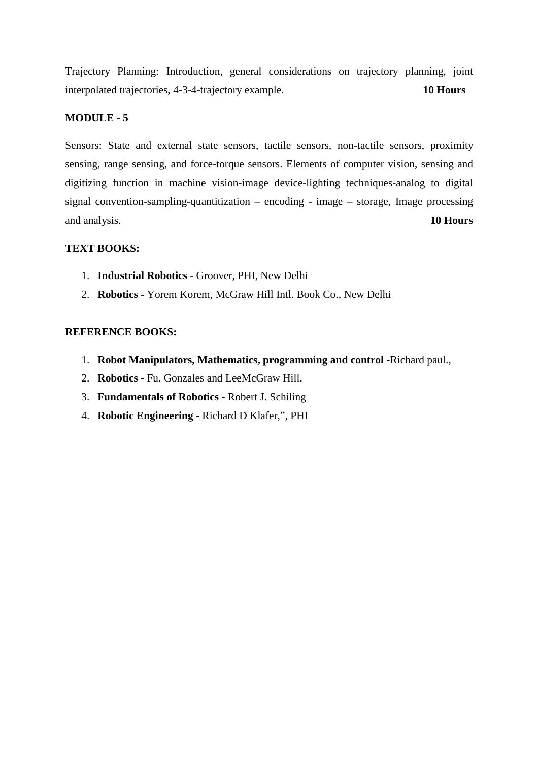Trajectory Planning: Introduction, general considerations on trajectory planning, joint interpolated trajectories, 4-3-4-trajectory example. **10 Hours**

#### **MODULE - 5**

Sensors: State and external state sensors, tactile sensors, non-tactile sensors, proximity sensing, range sensing, and force-torque sensors. Elements of computer vision, sensing and digitizing function in machine vision-image device-lighting techniques-analog to digital signal convention-sampling-quantitization – encoding - image – storage, Image processing and analysis. **10 Hours**

#### **TEXT BOOKS:**

- 1. **Industrial Robotics** Groover, PHI, New Delhi
- 2. **Robotics** Yorem Korem, McGraw Hill Intl. Book Co., New Delhi

#### **REFERENCE BOOKS:**

- 1. **Robot Manipulators, Mathematics, programming and control -**Richard paul.,
- 2. **Robotics** Fu. Gonzales and LeeMcGraw Hill.
- 3. **Fundamentals of Robotics** Robert J. Schiling
- 4. **Robotic Engineering** Richard D Klafer,", PHI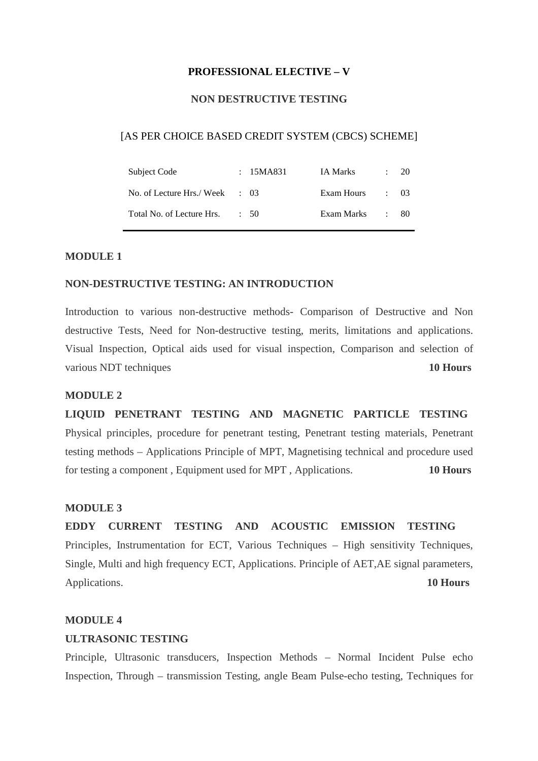#### **PROFESSIONAL ELECTIVE – V**

#### **NON DESTRUCTIVE TESTING**

#### [AS PER CHOICE BASED CREDIT SYSTEM (CBCS) SCHEME]

| Subject Code                             | : 15MA831 | IA Marks   | $\sim 100$      | -20 |
|------------------------------------------|-----------|------------|-----------------|-----|
| No. of Lecture Hrs./Week $\therefore$ 03 |           | Exam Hours | $\therefore$ 03 |     |
| Total No. of Lecture Hrs.                | $\div$ 50 | Exam Marks | $\pm$ 80        |     |

#### **MODULE 1**

#### **NON-DESTRUCTIVE TESTING: AN INTRODUCTION**

Introduction to various non-destructive methods- Comparison of Destructive and Non destructive Tests, Need for Non-destructive testing, merits, limitations and applications. Visual Inspection, Optical aids used for visual inspection, Comparison and selection of various NDT techniques **10 Hours** 

#### **MODULE 2**

**LIQUID PENETRANT TESTING AND MAGNETIC PARTICLE TESTING** Physical principles, procedure for penetrant testing, Penetrant testing materials, Penetrant testing methods – Applications Principle of MPT, Magnetising technical and procedure used for testing a component , Equipment used for MPT , Applications. **10 Hours** 

#### **MODULE 3**

**EDDY CURRENT TESTING AND ACOUSTIC EMISSION TESTING** Principles, Instrumentation for ECT, Various Techniques – High sensitivity Techniques, Single, Multi and high frequency ECT, Applications. Principle of AET,AE signal parameters, Applications. **10 Hours**

#### **MODULE 4**

#### **ULTRASONIC TESTING**

Principle, Ultrasonic transducers, Inspection Methods – Normal Incident Pulse echo Inspection, Through – transmission Testing, angle Beam Pulse-echo testing, Techniques for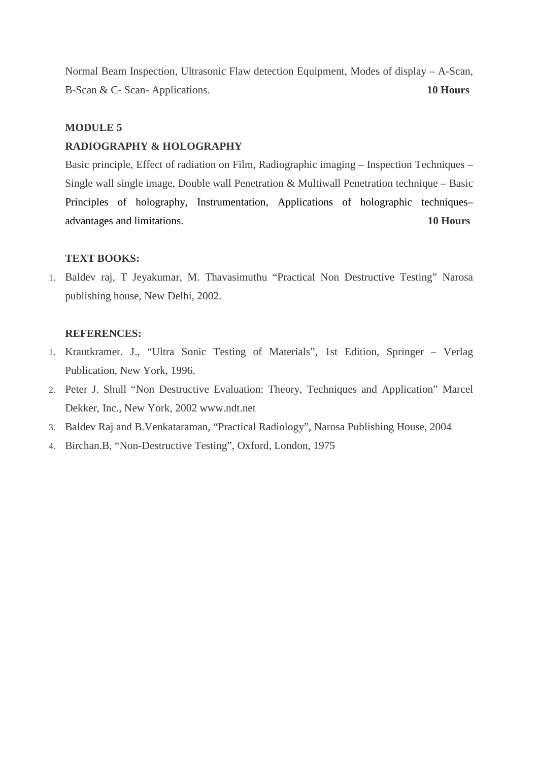Normal Beam Inspection, Ultrasonic Flaw detection Equipment, Modes of display – A-Scan, B-Scan & C- Scan- Applications. **10 Hours**

#### **MODULE 5**

#### **RADIOGRAPHY & HOLOGRAPHY**

Basic principle, Effect of radiation on Film, Radiographic imaging – Inspection Techniques – Single wall single image, Double wall Penetration & Multiwall Penetration technique – Basic Principles of holography, Instrumentation, Applications of holographic techniques– advantages and limitations. **10 Hours**

#### **TEXT BOOKS:**

1. Baldev raj, T Jeyakumar, M. Thavasimuthu "Practical Non Destructive Testing" Narosa publishing house, New Delhi, 2002.

#### **REFERENCES:**

- 1. Krautkramer. J., "Ultra Sonic Testing of Materials", 1st Edition, Springer Verlag Publication, New York, 1996.
- 2. Peter J. Shull "Non Destructive Evaluation: Theory, Techniques and Application" Marcel Dekker, Inc., New York, 2002 www.ndt.net
- 3. Baldev Raj and B.Venkataraman, "Practical Radiology", Narosa Publishing House, 2004
- 4. Birchan.B, "Non-Destructive Testing", Oxford, London, 1975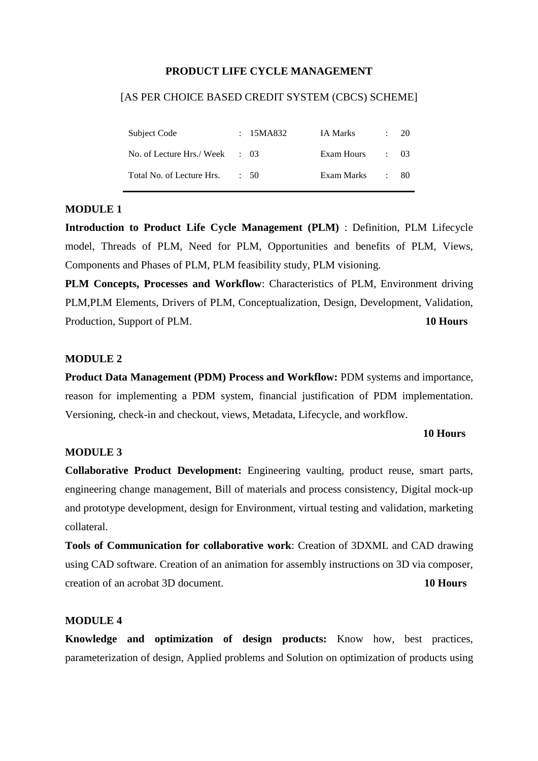#### **PRODUCT LIFE CYCLE MANAGEMENT**

#### [AS PER CHOICE BASED CREDIT SYSTEM (CBCS) SCHEME]

| Subject Code                             | : 15MA832 | IA Marks   |            | 20    |
|------------------------------------------|-----------|------------|------------|-------|
| No. of Lecture Hrs./Week $\therefore$ 03 |           | Exam Hours | $\cdot$ 03 |       |
| Total No. of Lecture Hrs.                | $\div$ 50 | Exam Marks |            | - 80- |

#### **MODULE 1**

**Introduction to Product Life Cycle Management (PLM)** : Definition, PLM Lifecycle model, Threads of PLM, Need for PLM, Opportunities and benefits of PLM, Views, Components and Phases of PLM, PLM feasibility study, PLM visioning.

**PLM Concepts, Processes and Workflow**: Characteristics of PLM, Environment driving PLM,PLM Elements, Drivers of PLM, Conceptualization, Design, Development, Validation, Production, Support of PLM. **10 Hours**

#### **MODULE 2**

**Product Data Management (PDM) Process and Workflow:** PDM systems and importance, reason for implementing a PDM system, financial justification of PDM implementation. Versioning, check-in and checkout, views, Metadata, Lifecycle, and workflow.

#### **10 Hours**

#### **MODULE 3**

**Collaborative Product Development:** Engineering vaulting, product reuse, smart parts, engineering change management, Bill of materials and process consistency, Digital mock-up and prototype development, design for Environment, virtual testing and validation, marketing collateral.

**Tools of Communication for collaborative work**: Creation of 3DXML and CAD drawing using CAD software. Creation of an animation for assembly instructions on 3D via composer, creation of an acrobat 3D document. **10 Hours**

#### **MODULE 4**

**Knowledge and optimization of design products:** Know how, best practices, parameterization of design, Applied problems and Solution on optimization of products using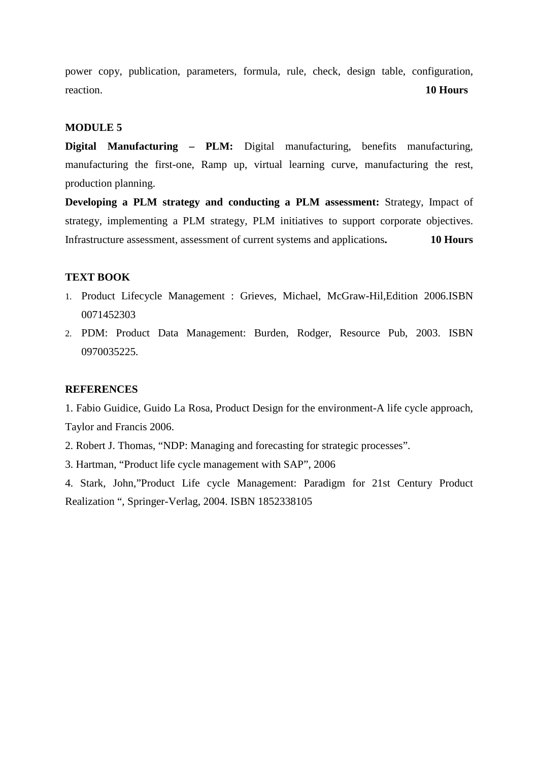power copy, publication, parameters, formula, rule, check, design table, configuration, reaction. **10 Hours** 

#### **MODULE 5**

**Digital Manufacturing – PLM:** Digital manufacturing, benefits manufacturing, manufacturing the first-one, Ramp up, virtual learning curve, manufacturing the rest, production planning.

**Developing a PLM strategy and conducting a PLM assessment:** Strategy, Impact of strategy, implementing a PLM strategy, PLM initiatives to support corporate objectives. Infrastructure assessment, assessment of current systems and applications**. 10 Hours** 

#### **TEXT BOOK**

- 1. Product Lifecycle Management : Grieves, Michael, McGraw-Hil,Edition 2006.ISBN 0071452303
- 2. PDM: Product Data Management: Burden, Rodger, Resource Pub, 2003. ISBN 0970035225.

#### **REFERENCES**

1. Fabio Guidice, Guido La Rosa, Product Design for the environment-A life cycle approach, Taylor and Francis 2006.

- 2. Robert J. Thomas, "NDP: Managing and forecasting for strategic processes".
- 3. Hartman, "Product life cycle management with SAP", 2006

4. Stark, John,"Product Life cycle Management: Paradigm for 21st Century Product Realization ", Springer-Verlag, 2004. ISBN 1852338105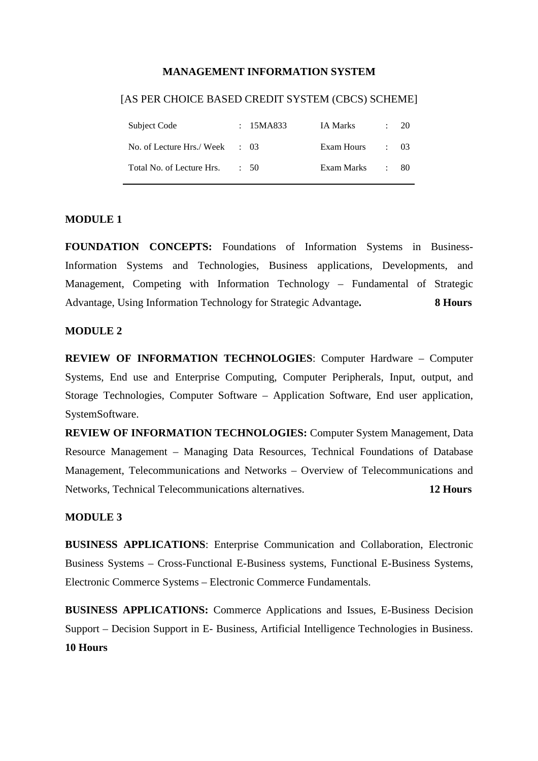#### **MANAGEMENT INFORMATION SYSTEM**

#### [AS PER CHOICE BASED CREDIT SYSTEM (CBCS) SCHEME]

| Subject Code                             | : 15MA833 | IA Marks   |            | 20   |
|------------------------------------------|-----------|------------|------------|------|
| No. of Lecture Hrs./Week $\therefore$ 03 |           | Exam Hours | $\cdot$ 03 |      |
| Total No. of Lecture Hrs.                | $\div$ 50 | Exam Marks |            | -80- |

#### **MODULE 1**

**FOUNDATION CONCEPTS:** Foundations of Information Systems in Business-Information Systems and Technologies, Business applications, Developments, and Management, Competing with Information Technology – Fundamental of Strategic Advantage, Using Information Technology for Strategic Advantage**. 8 Hours**

#### **MODULE 2**

**REVIEW OF INFORMATION TECHNOLOGIES**: Computer Hardware – Computer Systems, End use and Enterprise Computing, Computer Peripherals, Input, output, and Storage Technologies, Computer Software – Application Software, End user application, SystemSoftware.

**REVIEW OF INFORMATION TECHNOLOGIES:** Computer System Management, Data Resource Management – Managing Data Resources, Technical Foundations of Database Management, Telecommunications and Networks – Overview of Telecommunications and Networks, Technical Telecommunications alternatives. **12 Hours**

#### **MODULE 3**

**BUSINESS APPLICATIONS**: Enterprise Communication and Collaboration, Electronic Business Systems – Cross-Functional E-Business systems, Functional E-Business Systems, Electronic Commerce Systems – Electronic Commerce Fundamentals.

**BUSINESS APPLICATIONS:** Commerce Applications and Issues, E-Business Decision Support – Decision Support in E- Business, Artificial Intelligence Technologies in Business. **10 Hours**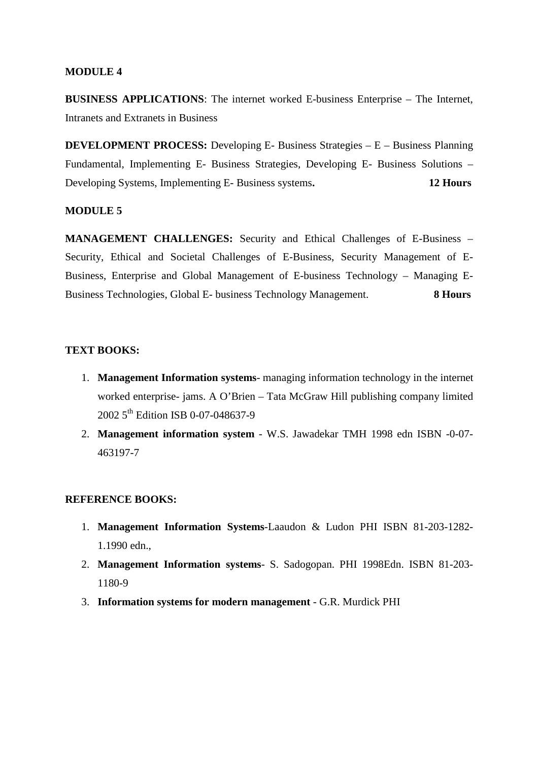#### **MODULE 4**

**BUSINESS APPLICATIONS**: The internet worked E-business Enterprise – The Internet, Intranets and Extranets in Business

**DEVELOPMENT PROCESS:** Developing E- Business Strategies – E – Business Planning Fundamental, Implementing E- Business Strategies, Developing E- Business Solutions – Developing Systems, Implementing E- Business systems**. 12 Hours**

#### **MODULE 5**

**MANAGEMENT CHALLENGES:** Security and Ethical Challenges of E-Business – Security, Ethical and Societal Challenges of E-Business, Security Management of E-Business, Enterprise and Global Management of E-business Technology – Managing E-Business Technologies, Global E- business Technology Management. **8 Hours**

#### **TEXT BOOKS:**

- 1. **Management Information systems** managing information technology in the internet worked enterprise- jams. A O'Brien – Tata McGraw Hill publishing company limited 2002 5<sup>th</sup> Edition ISB 0-07-048637-9
- 2. **Management information system** W.S. Jawadekar TMH 1998 edn ISBN -0-07- 463197-7

#### **REFERENCE BOOKS:**

- 1. **Management Information Systems**-Laaudon & Ludon PHI ISBN 81-203-1282- 1.1990 edn.,
- 2. **Management Information systems** S. Sadogopan. PHI 1998Edn. ISBN 81-203- 1180-9
- 3. **Information systems for modern management** G.R. Murdick PHI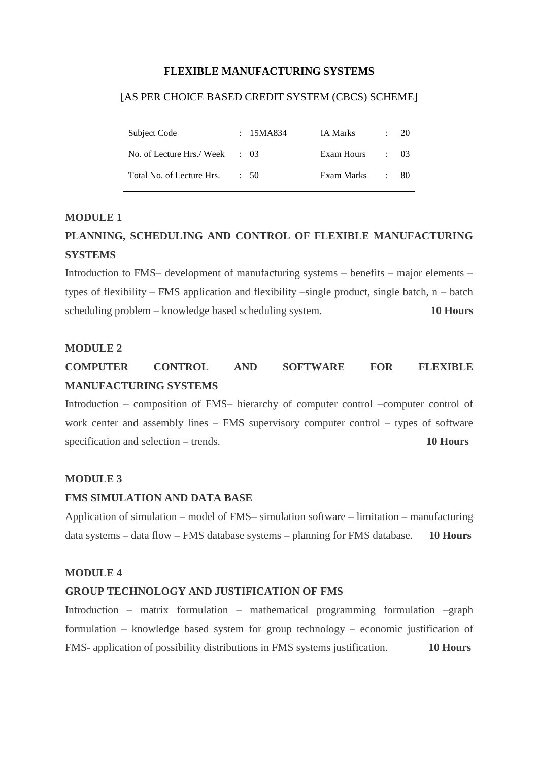#### **FLEXIBLE MANUFACTURING SYSTEMS**

#### [AS PER CHOICE BASED CREDIT SYSTEM (CBCS) SCHEME]

| Subject Code                             | : 15MA834 | IA Marks   |            | $\div$ 20 |
|------------------------------------------|-----------|------------|------------|-----------|
| No. of Lecture Hrs./Week $\therefore$ 03 |           | Exam Hours | $\cdot$ 03 |           |
| Total No. of Lecture Hrs.                | $\div$ 50 | Exam Marks |            | - 80-     |

#### **MODULE 1**

# **PLANNING, SCHEDULING AND CONTROL OF FLEXIBLE MANUFACTURING SYSTEMS**

Introduction to FMS– development of manufacturing systems – benefits – major elements – types of flexibility – FMS application and flexibility –single product, single batch,  $n -$  batch scheduling problem – knowledge based scheduling system. **10 Hours** 

#### **MODULE 2**

# **COMPUTER CONTROL AND SOFTWARE FOR FLEXIBLE MANUFACTURING SYSTEMS**

Introduction – composition of FMS– hierarchy of computer control –computer control of work center and assembly lines – FMS supervisory computer control – types of software specification and selection – trends. **10 Hours**

#### **MODULE 3**

#### **FMS SIMULATION AND DATA BASE**

Application of simulation – model of FMS– simulation software – limitation – manufacturing data systems – data flow – FMS database systems – planning for FMS database. **10 Hours**

#### **MODULE 4**

#### **GROUP TECHNOLOGY AND JUSTIFICATION OF FMS**

Introduction – matrix formulation – mathematical programming formulation –graph formulation – knowledge based system for group technology – economic justification of FMS- application of possibility distributions in FMS systems justification. **10 Hours**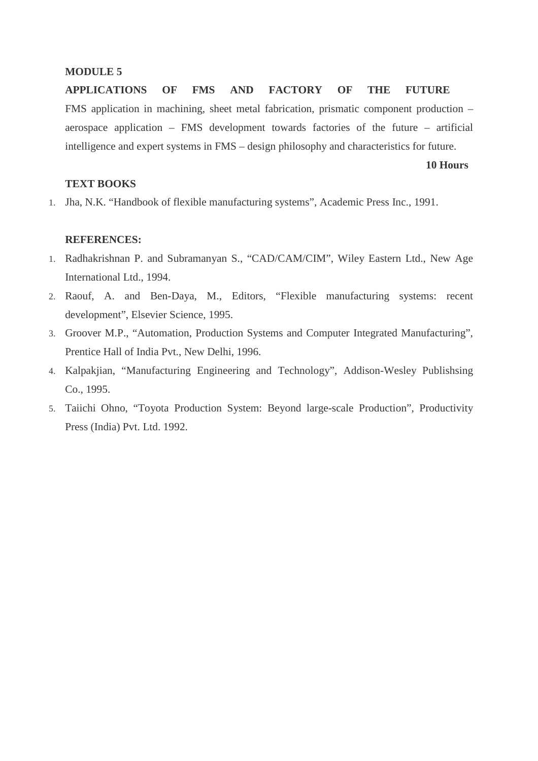#### **MODULE 5**

**APPLICATIONS OF FMS AND FACTORY OF THE FUTURE** FMS application in machining, sheet metal fabrication, prismatic component production – aerospace application – FMS development towards factories of the future – artificial intelligence and expert systems in FMS – design philosophy and characteristics for future.

#### **10 Hours**

#### **TEXT BOOKS**

1. Jha, N.K. "Handbook of flexible manufacturing systems", Academic Press Inc., 1991.

#### **REFERENCES:**

- 1. Radhakrishnan P. and Subramanyan S., "CAD/CAM/CIM", Wiley Eastern Ltd., New Age International Ltd., 1994.
- 2. Raouf, A. and Ben-Daya, M., Editors, "Flexible manufacturing systems: recent development", Elsevier Science, 1995.
- 3. Groover M.P., "Automation, Production Systems and Computer Integrated Manufacturing", Prentice Hall of India Pvt., New Delhi, 1996.
- 4. Kalpakjian, "Manufacturing Engineering and Technology", Addison-Wesley Publishsing Co., 1995.
- 5. Taiichi Ohno, "Toyota Production System: Beyond large-scale Production", Productivity Press (India) Pvt. Ltd. 1992.